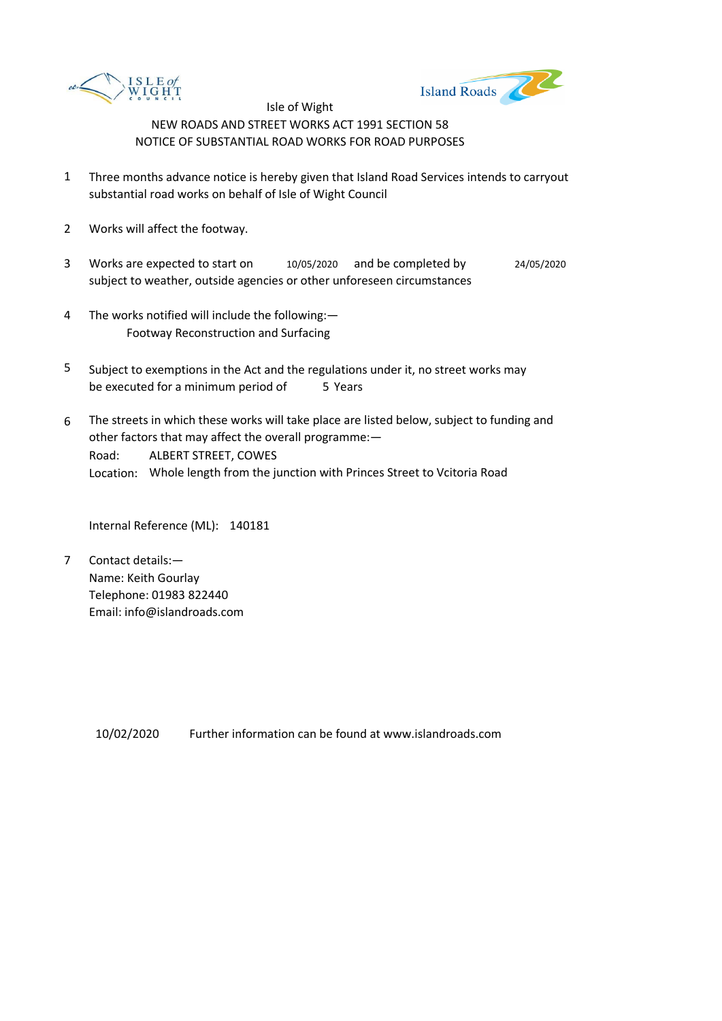



- 1 Three months advance notice is hereby given that Island Road Services intends to carryout substantial road works on behalf of Isle of Wight Council
- 2 Works will affect the footway.
- 3 Works are expected to start on subject to weather, outside agencies or other unforeseen circumstances 10/05/2020 and be completed by 24/05/2020
- 4 The works notified will include the following:— Footway Reconstruction and Surfacing
- 5 be executed for a minimum period of 5 Years Subject to exemptions in the Act and the regulations under it, no street works may
- 6 Road: Location: Whole length from the junction with Princes Street to Vcitoria Road The streets in which these works will take place are listed below, subject to funding and other factors that may affect the overall programme:— ALBERT STREET, COWES

Internal Reference (ML): 140181

7 Contact details:— Name: Keith Gourlay Telephone: 01983 822440 Email: info@islandroads.com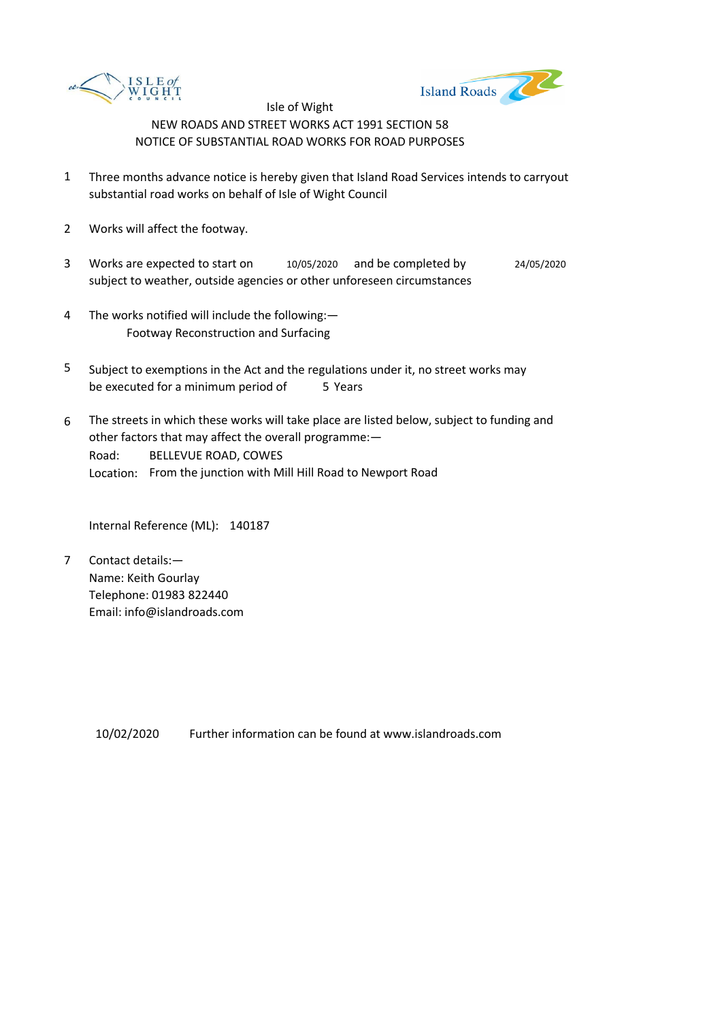



- 1 Three months advance notice is hereby given that Island Road Services intends to carryout substantial road works on behalf of Isle of Wight Council
- 2 Works will affect the footway.
- 3 Works are expected to start on subject to weather, outside agencies or other unforeseen circumstances 10/05/2020 and be completed by 24/05/2020
- 4 The works notified will include the following:— Footway Reconstruction and Surfacing
- 5 be executed for a minimum period of 5 Years Subject to exemptions in the Act and the regulations under it, no street works may
- 6 Road: Location: From the junction with Mill Hill Road to Newport Road The streets in which these works will take place are listed below, subject to funding and other factors that may affect the overall programme:— BELLEVUE ROAD, COWES

Internal Reference (ML): 140187

7 Contact details:— Name: Keith Gourlay Telephone: 01983 822440 Email: info@islandroads.com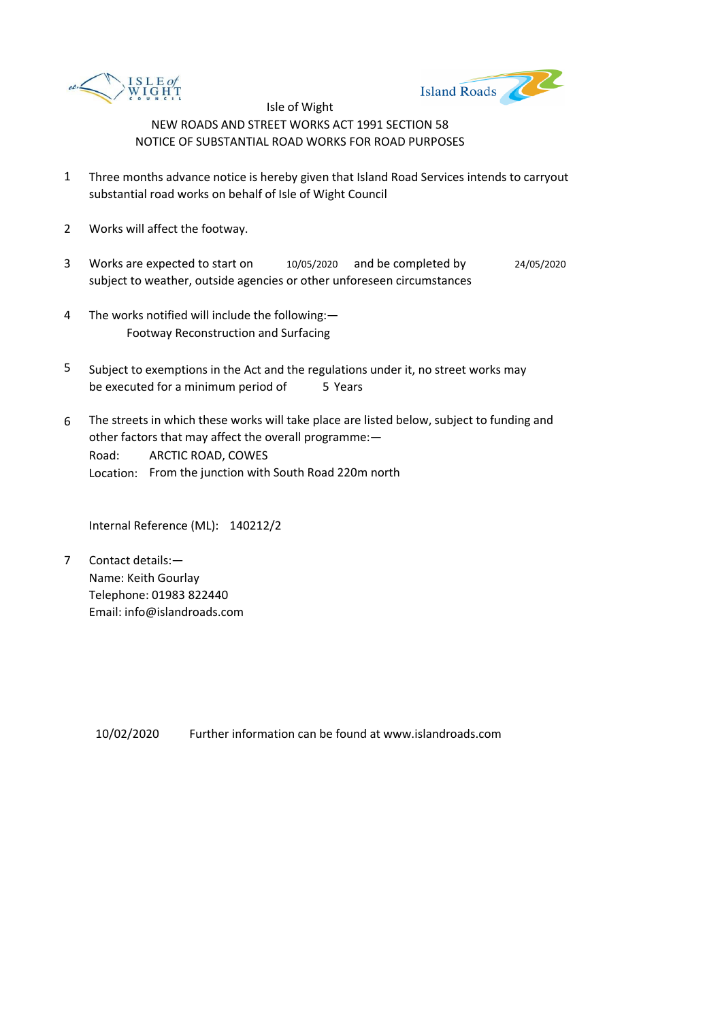



- 1 Three months advance notice is hereby given that Island Road Services intends to carryout substantial road works on behalf of Isle of Wight Council
- 2 Works will affect the footway.
- 3 Works are expected to start on subject to weather, outside agencies or other unforeseen circumstances 10/05/2020 and be completed by 24/05/2020
- 4 The works notified will include the following:— Footway Reconstruction and Surfacing
- 5 be executed for a minimum period of 5 Years Subject to exemptions in the Act and the regulations under it, no street works may
- 6 Road: Location: From the junction with South Road 220m north The streets in which these works will take place are listed below, subject to funding and other factors that may affect the overall programme:— ARCTIC ROAD, COWES

Internal Reference (ML): 140212/2

7 Contact details:— Name: Keith Gourlay Telephone: 01983 822440 Email: info@islandroads.com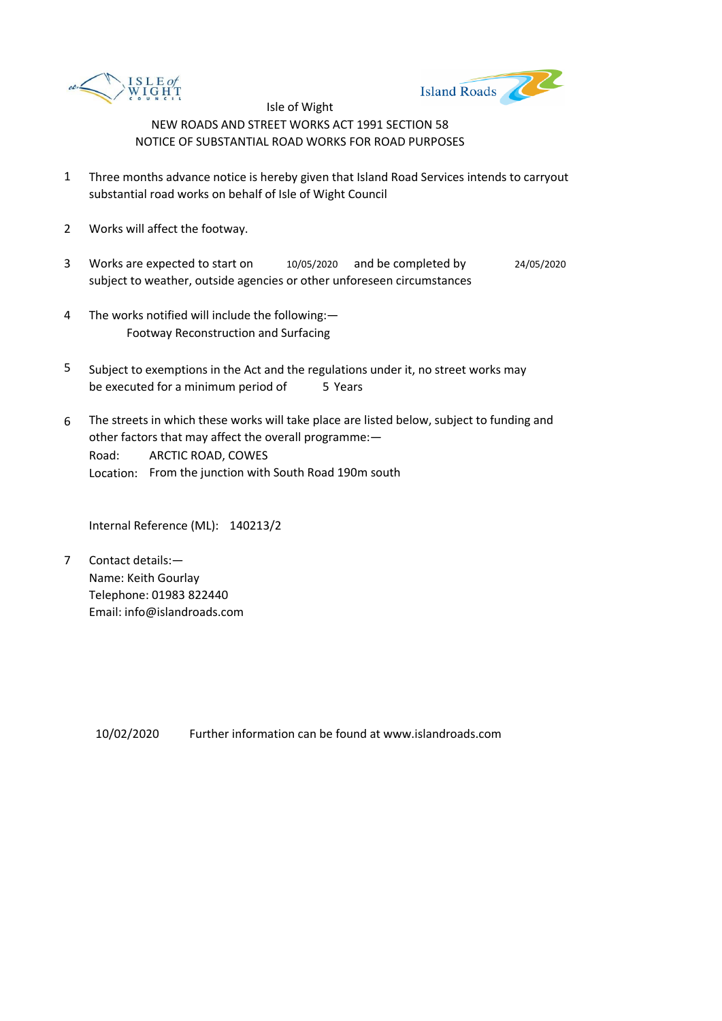



- 1 Three months advance notice is hereby given that Island Road Services intends to carryout substantial road works on behalf of Isle of Wight Council
- 2 Works will affect the footway.
- 3 Works are expected to start on subject to weather, outside agencies or other unforeseen circumstances 10/05/2020 and be completed by 24/05/2020
- 4 The works notified will include the following:— Footway Reconstruction and Surfacing
- 5 be executed for a minimum period of 5 Years Subject to exemptions in the Act and the regulations under it, no street works may
- 6 Road: Location: From the junction with South Road 190m south The streets in which these works will take place are listed below, subject to funding and other factors that may affect the overall programme:— ARCTIC ROAD, COWES

Internal Reference (ML): 140213/2

7 Contact details:— Name: Keith Gourlay Telephone: 01983 822440 Email: info@islandroads.com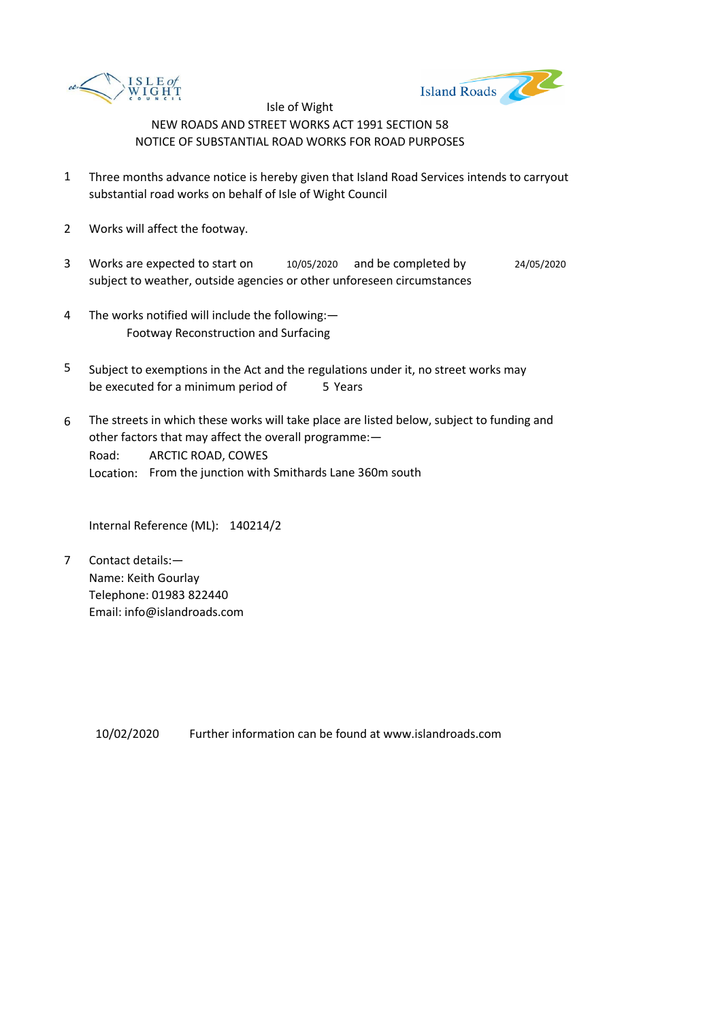



- 1 Three months advance notice is hereby given that Island Road Services intends to carryout substantial road works on behalf of Isle of Wight Council
- 2 Works will affect the footway.
- 3 Works are expected to start on subject to weather, outside agencies or other unforeseen circumstances 10/05/2020 and be completed by 24/05/2020
- 4 The works notified will include the following:— Footway Reconstruction and Surfacing
- 5 be executed for a minimum period of 5 Years Subject to exemptions in the Act and the regulations under it, no street works may
- 6 Road: Location: From the junction with Smithards Lane 360m south The streets in which these works will take place are listed below, subject to funding and other factors that may affect the overall programme:— ARCTIC ROAD, COWES

Internal Reference (ML): 140214/2

7 Contact details:— Name: Keith Gourlay Telephone: 01983 822440 Email: info@islandroads.com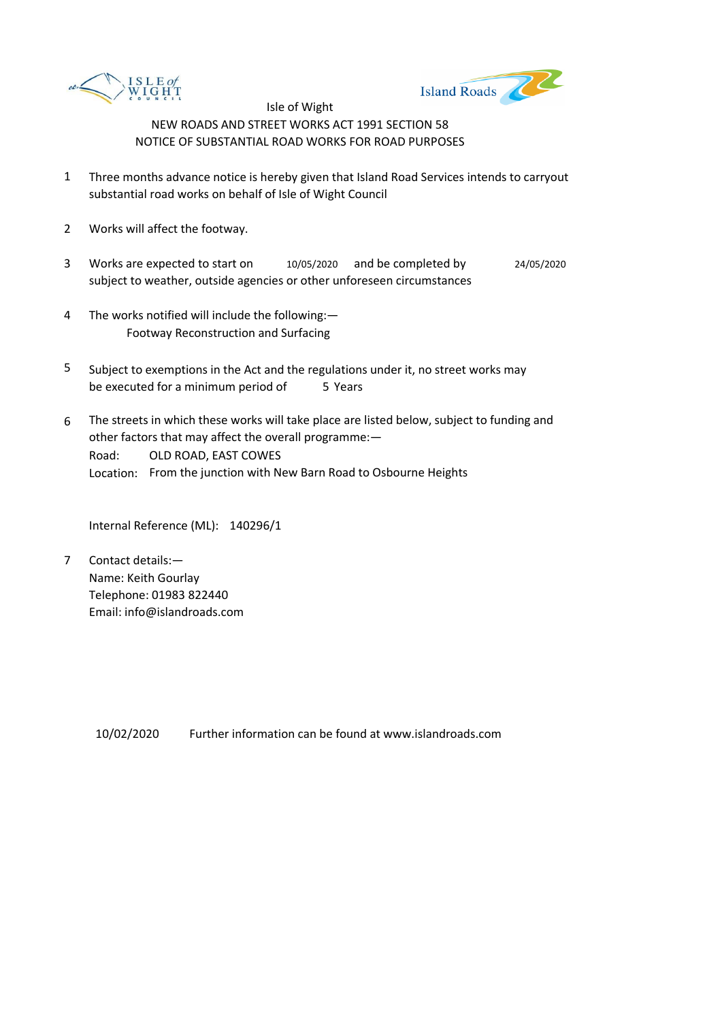



- 1 Three months advance notice is hereby given that Island Road Services intends to carryout substantial road works on behalf of Isle of Wight Council
- 2 Works will affect the footway.
- 3 Works are expected to start on subject to weather, outside agencies or other unforeseen circumstances 10/05/2020 and be completed by 24/05/2020
- 4 The works notified will include the following:— Footway Reconstruction and Surfacing
- 5 be executed for a minimum period of 5 Years Subject to exemptions in the Act and the regulations under it, no street works may
- 6 Road: Location: From the junction with New Barn Road to Osbourne Heights The streets in which these works will take place are listed below, subject to funding and other factors that may affect the overall programme:— OLD ROAD, EAST COWES

Internal Reference (ML): 140296/1

7 Contact details:— Name: Keith Gourlay Telephone: 01983 822440 Email: info@islandroads.com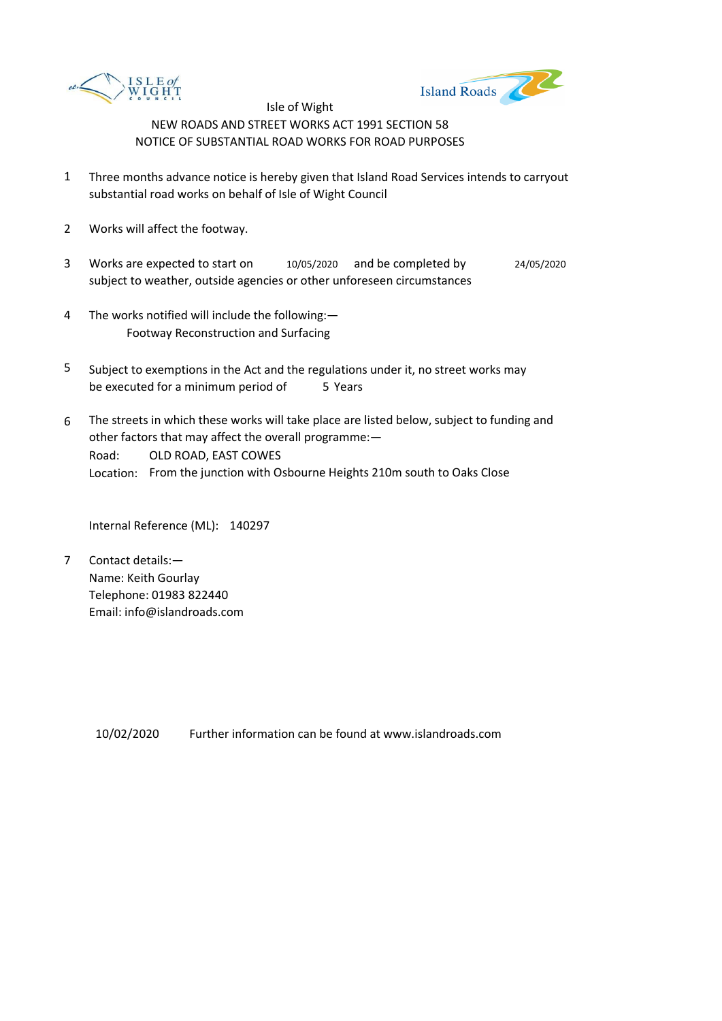



- 1 Three months advance notice is hereby given that Island Road Services intends to carryout substantial road works on behalf of Isle of Wight Council
- 2 Works will affect the footway.
- 3 Works are expected to start on subject to weather, outside agencies or other unforeseen circumstances 10/05/2020 and be completed by 24/05/2020
- 4 The works notified will include the following:— Footway Reconstruction and Surfacing
- 5 be executed for a minimum period of 5 Years Subject to exemptions in the Act and the regulations under it, no street works may
- 6 Road: Location: From the junction with Osbourne Heights 210m south to Oaks Close The streets in which these works will take place are listed below, subject to funding and other factors that may affect the overall programme:— OLD ROAD, EAST COWES

Internal Reference (ML): 140297

7 Contact details:— Name: Keith Gourlay Telephone: 01983 822440 Email: info@islandroads.com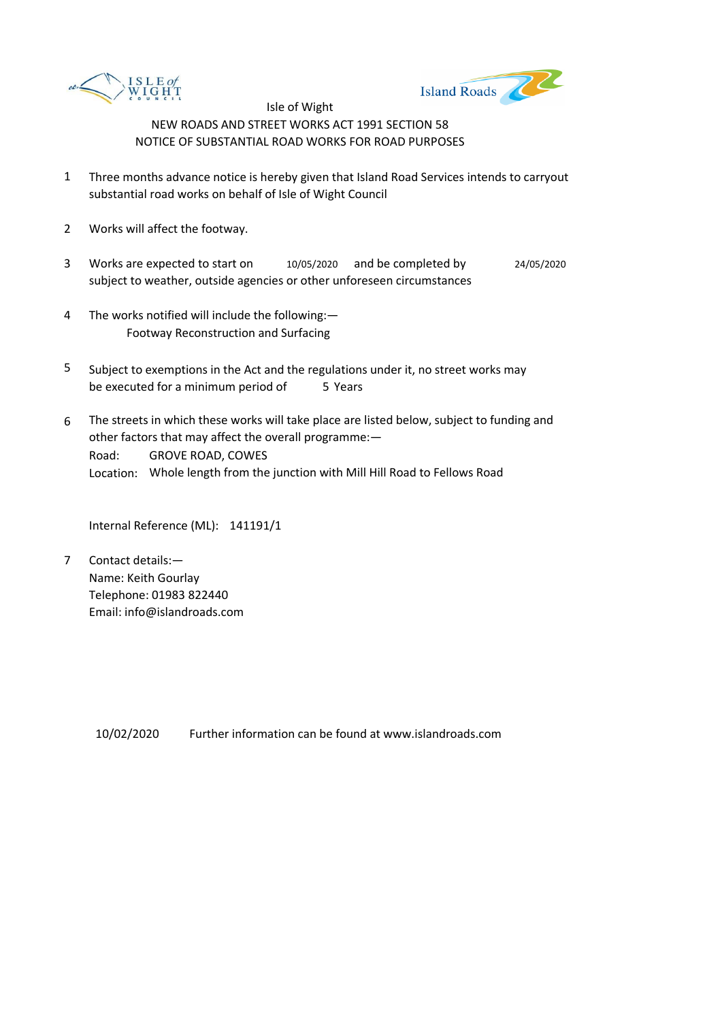



- 1 Three months advance notice is hereby given that Island Road Services intends to carryout substantial road works on behalf of Isle of Wight Council
- 2 Works will affect the footway.
- 3 Works are expected to start on subject to weather, outside agencies or other unforeseen circumstances 10/05/2020 and be completed by 24/05/2020
- 4 The works notified will include the following:— Footway Reconstruction and Surfacing
- 5 be executed for a minimum period of 5 Years Subject to exemptions in the Act and the regulations under it, no street works may
- 6 Road: Location: Whole length from the junction with Mill Hill Road to Fellows Road The streets in which these works will take place are listed below, subject to funding and other factors that may affect the overall programme:— GROVE ROAD, COWES

Internal Reference (ML): 141191/1

7 Contact details:— Name: Keith Gourlay Telephone: 01983 822440 Email: info@islandroads.com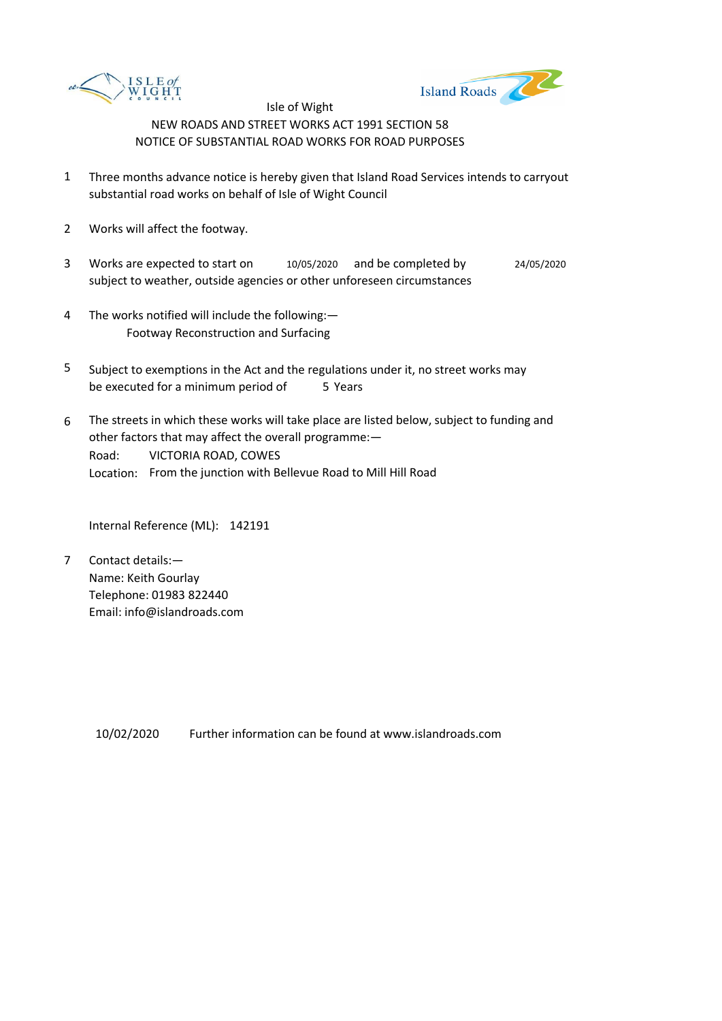



- 1 Three months advance notice is hereby given that Island Road Services intends to carryout substantial road works on behalf of Isle of Wight Council
- 2 Works will affect the footway.
- 3 Works are expected to start on  $10/05/2020$  and be completed by 24/05/2020 subject to weather, outside agencies or other unforeseen circumstances
- 4 The works notified will include the following:— Footway Reconstruction and Surfacing
- 5 be executed for a minimum period of 5 Years Subject to exemptions in the Act and the regulations under it, no street works may
- 6 Road: Location: From the junction with Bellevue Road to Mill Hill Road The streets in which these works will take place are listed below, subject to funding and other factors that may affect the overall programme:— VICTORIA ROAD, COWES

Internal Reference (ML): 142191

7 Contact details:— Name: Keith Gourlay Telephone: 01983 822440 Email: info@islandroads.com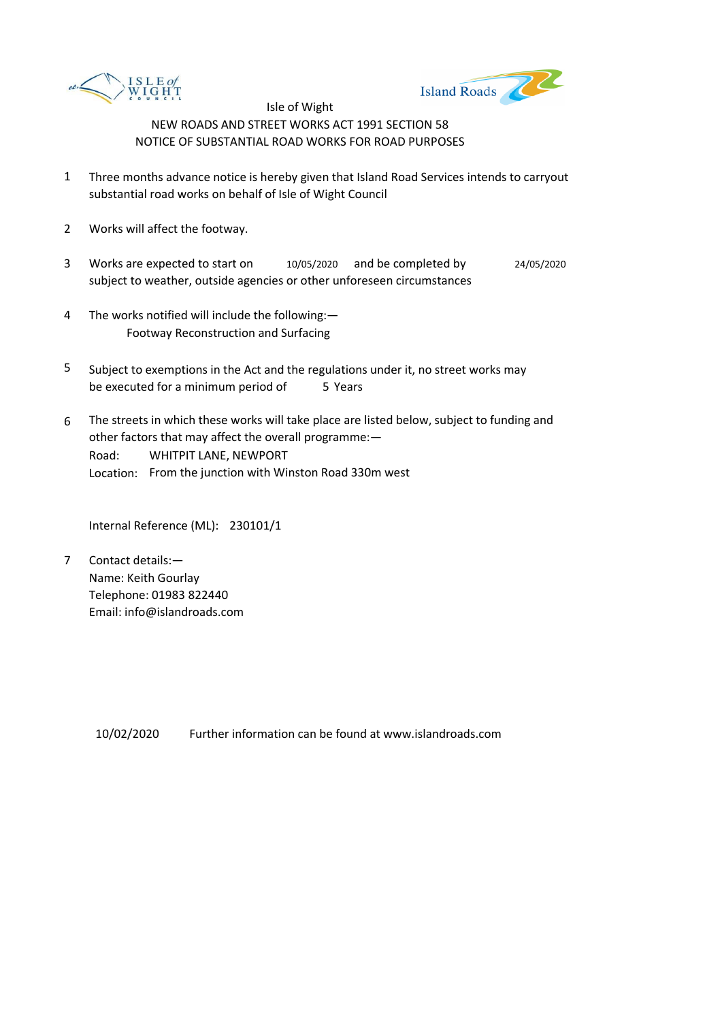



- 1 Three months advance notice is hereby given that Island Road Services intends to carryout substantial road works on behalf of Isle of Wight Council
- 2 Works will affect the footway.
- 3 Works are expected to start on subject to weather, outside agencies or other unforeseen circumstances 10/05/2020 and be completed by 24/05/2020
- 4 The works notified will include the following:— Footway Reconstruction and Surfacing
- 5 be executed for a minimum period of 5 Years Subject to exemptions in the Act and the regulations under it, no street works may
- 6 Road: Location: From the junction with Winston Road 330m west The streets in which these works will take place are listed below, subject to funding and other factors that may affect the overall programme:— WHITPIT LANE, NEWPORT

Internal Reference (ML): 230101/1

7 Contact details:— Name: Keith Gourlay Telephone: 01983 822440 Email: info@islandroads.com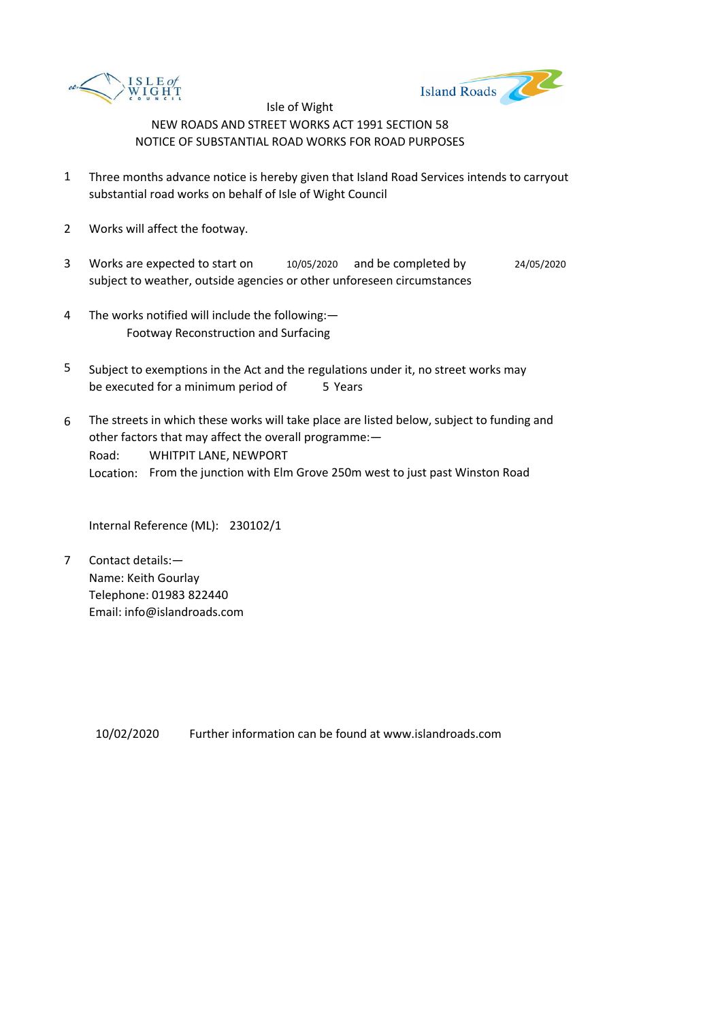



- 1 Three months advance notice is hereby given that Island Road Services intends to carryout substantial road works on behalf of Isle of Wight Council
- 2 Works will affect the footway.
- 3 Works are expected to start on subject to weather, outside agencies or other unforeseen circumstances 10/05/2020 and be completed by 24/05/2020
- 4 The works notified will include the following:— Footway Reconstruction and Surfacing
- 5 be executed for a minimum period of 5 Years Subject to exemptions in the Act and the regulations under it, no street works may
- 6 Road: Location: From the junction with Elm Grove 250m west to just past Winston Road The streets in which these works will take place are listed below, subject to funding and other factors that may affect the overall programme:— WHITPIT LANE, NEWPORT

Internal Reference (ML): 230102/1

7 Contact details:— Name: Keith Gourlay Telephone: 01983 822440 Email: info@islandroads.com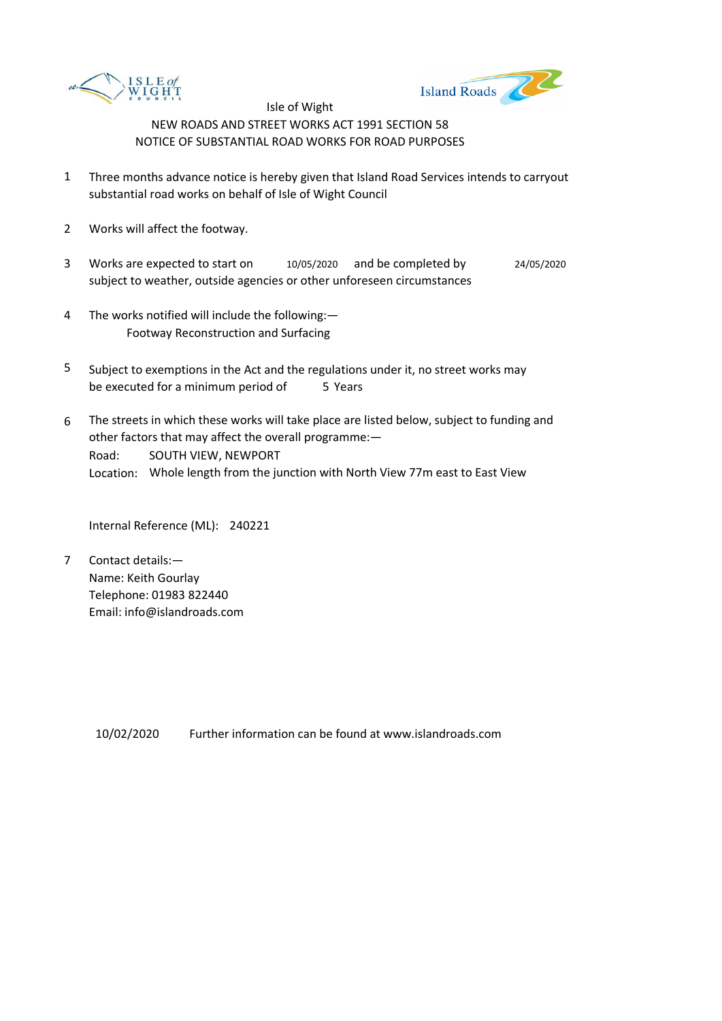



- 1 Three months advance notice is hereby given that Island Road Services intends to carryout substantial road works on behalf of Isle of Wight Council
- 2 Works will affect the footway.
- 3 Works are expected to start on subject to weather, outside agencies or other unforeseen circumstances 10/05/2020 and be completed by 24/05/2020
- 4 The works notified will include the following:— Footway Reconstruction and Surfacing
- 5 be executed for a minimum period of 5 Years Subject to exemptions in the Act and the regulations under it, no street works may
- 6 Road: Location: Whole length from the junction with North View 77m east to East View The streets in which these works will take place are listed below, subject to funding and other factors that may affect the overall programme:— SOUTH VIEW, NEWPORT

Internal Reference (ML): 240221

7 Contact details:— Name: Keith Gourlay Telephone: 01983 822440 Email: info@islandroads.com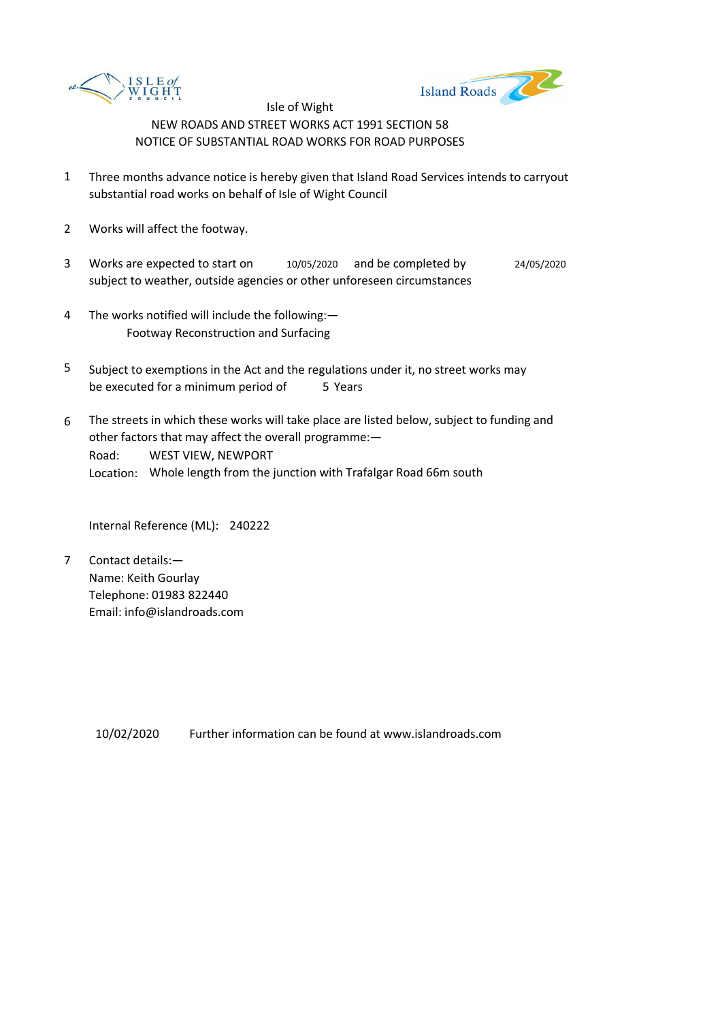



- 1 Three months advance notice is hereby given that Island Road Services intends to carryout substantial road works on behalf of Isle of Wight Council
- 2 Works will affect the footway.
- 3 Works are expected to start on subject to weather, outside agencies or other unforeseen circumstances 10/05/2020 and be completed by 24/05/2020
- 4 The works notified will include the following:— Footway Reconstruction and Surfacing
- 5 be executed for a minimum period of 5 Years Subject to exemptions in the Act and the regulations under it, no street works may
- 6 Road: Location: Whole length from the junction with Trafalgar Road 66m south The streets in which these works will take place are listed below, subject to funding and other factors that may affect the overall programme:— WEST VIEW, NEWPORT

Internal Reference (ML): 240222

7 Contact details:— Name: Keith Gourlay Telephone: 01983 822440 Email: info@islandroads.com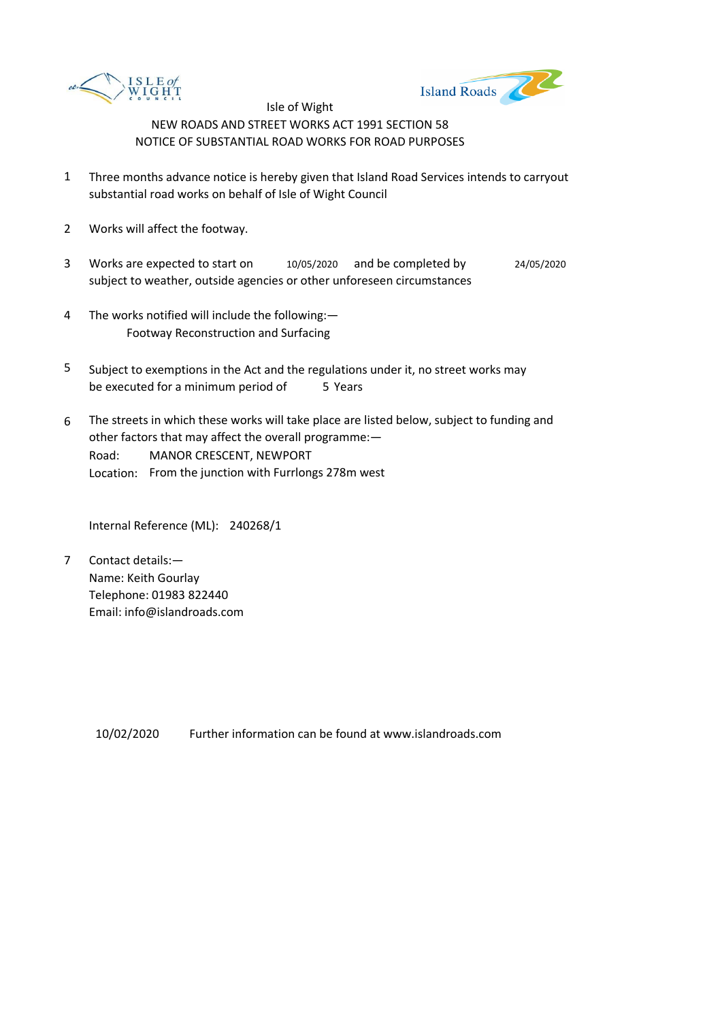



- 1 Three months advance notice is hereby given that Island Road Services intends to carryout substantial road works on behalf of Isle of Wight Council
- 2 Works will affect the footway.
- 3 Works are expected to start on subject to weather, outside agencies or other unforeseen circumstances 10/05/2020 and be completed by 24/05/2020
- 4 The works notified will include the following:— Footway Reconstruction and Surfacing
- 5 be executed for a minimum period of 5 Years Subject to exemptions in the Act and the regulations under it, no street works may
- 6 Road: Location: From the junction with Furrlongs 278m west The streets in which these works will take place are listed below, subject to funding and other factors that may affect the overall programme:— MANOR CRESCENT, NEWPORT

Internal Reference (ML): 240268/1

7 Contact details:— Name: Keith Gourlay Telephone: 01983 822440 Email: info@islandroads.com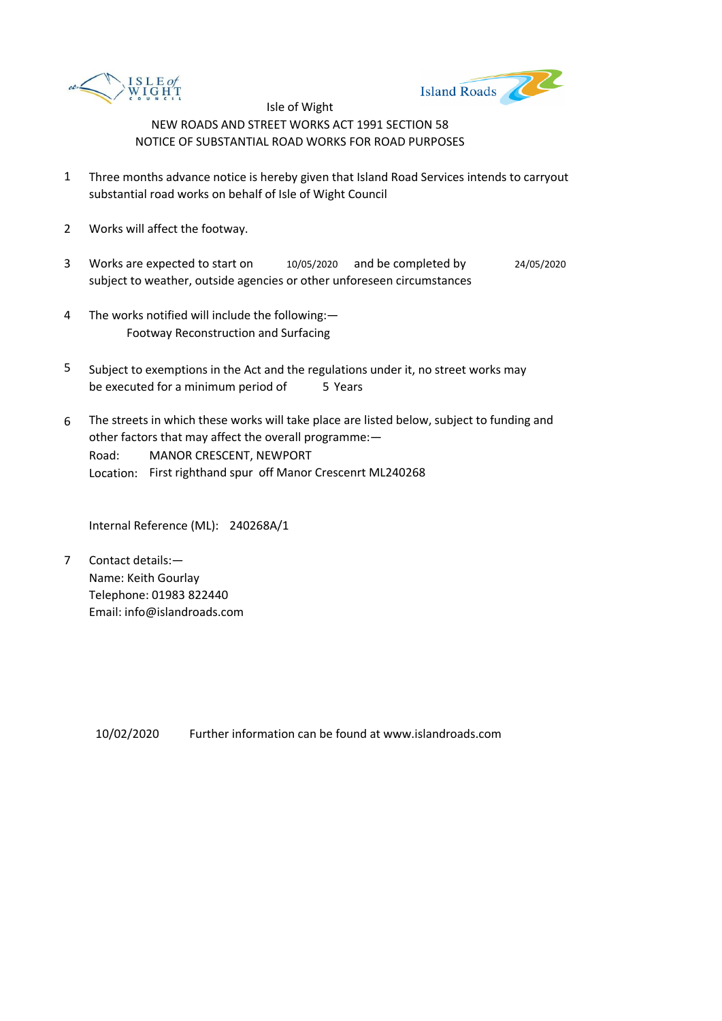



- 1 Three months advance notice is hereby given that Island Road Services intends to carryout substantial road works on behalf of Isle of Wight Council
- 2 Works will affect the footway.
- 3 Works are expected to start on subject to weather, outside agencies or other unforeseen circumstances 10/05/2020 and be completed by 24/05/2020
- 4 The works notified will include the following:— Footway Reconstruction and Surfacing
- 5 be executed for a minimum period of 5 Years Subject to exemptions in the Act and the regulations under it, no street works may
- 6 Road: Location: First righthand spur off Manor Crescenrt ML240268 The streets in which these works will take place are listed below, subject to funding and other factors that may affect the overall programme:— MANOR CRESCENT, NEWPORT

Internal Reference (ML): 240268A/1

7 Contact details:— Name: Keith Gourlay Telephone: 01983 822440 Email: info@islandroads.com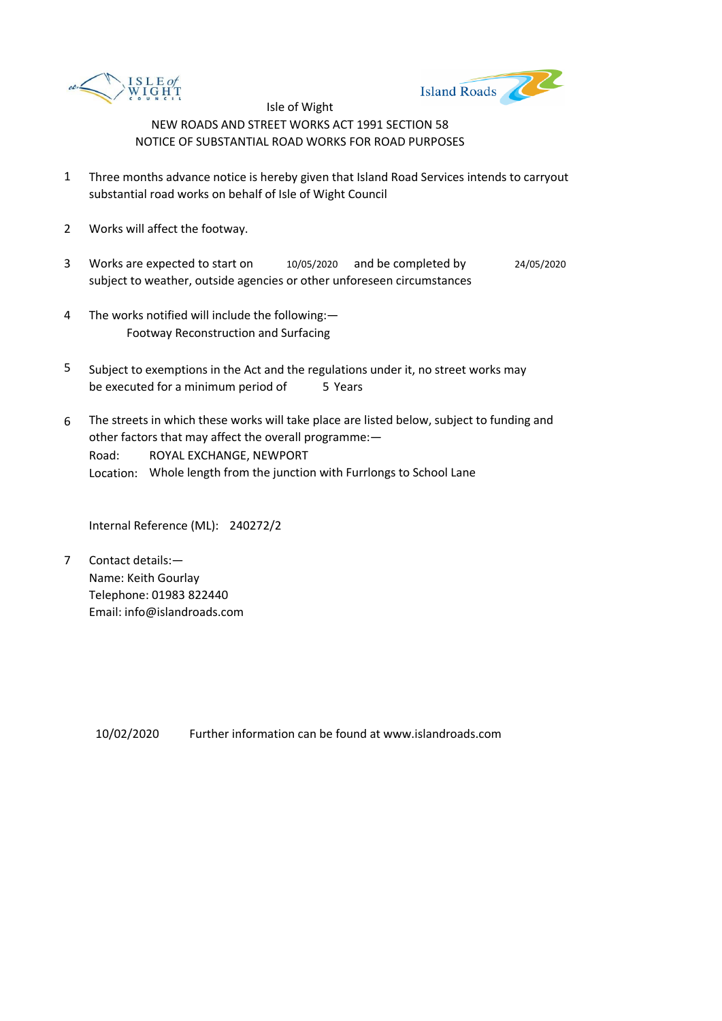



- 1 Three months advance notice is hereby given that Island Road Services intends to carryout substantial road works on behalf of Isle of Wight Council
- 2 Works will affect the footway.
- 3 Works are expected to start on  $10/05/2020$  and be completed by 24/05/2020 subject to weather, outside agencies or other unforeseen circumstances
- 4 The works notified will include the following:— Footway Reconstruction and Surfacing
- 5 be executed for a minimum period of 5 Years Subject to exemptions in the Act and the regulations under it, no street works may
- 6 Road: Location: Whole length from the junction with Furrlongs to School Lane The streets in which these works will take place are listed below, subject to funding and other factors that may affect the overall programme:— ROYAL EXCHANGE, NEWPORT

Internal Reference (ML): 240272/2

7 Contact details:— Name: Keith Gourlay Telephone: 01983 822440 Email: info@islandroads.com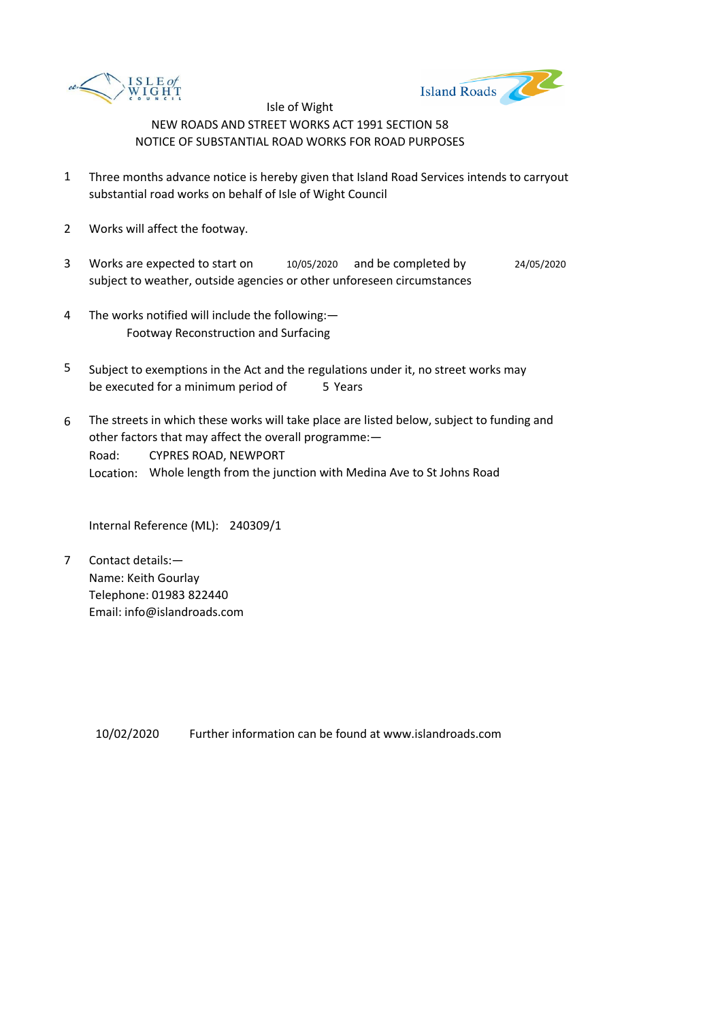



- 1 Three months advance notice is hereby given that Island Road Services intends to carryout substantial road works on behalf of Isle of Wight Council
- 2 Works will affect the footway.
- 3 Works are expected to start on subject to weather, outside agencies or other unforeseen circumstances 10/05/2020 and be completed by 24/05/2020
- 4 The works notified will include the following:— Footway Reconstruction and Surfacing
- 5 be executed for a minimum period of 5 Years Subject to exemptions in the Act and the regulations under it, no street works may
- 6 Road: Location: Whole length from the junction with Medina Ave to St Johns Road The streets in which these works will take place are listed below, subject to funding and other factors that may affect the overall programme:— CYPRES ROAD, NEWPORT

Internal Reference (ML): 240309/1

7 Contact details:— Name: Keith Gourlay Telephone: 01983 822440 Email: info@islandroads.com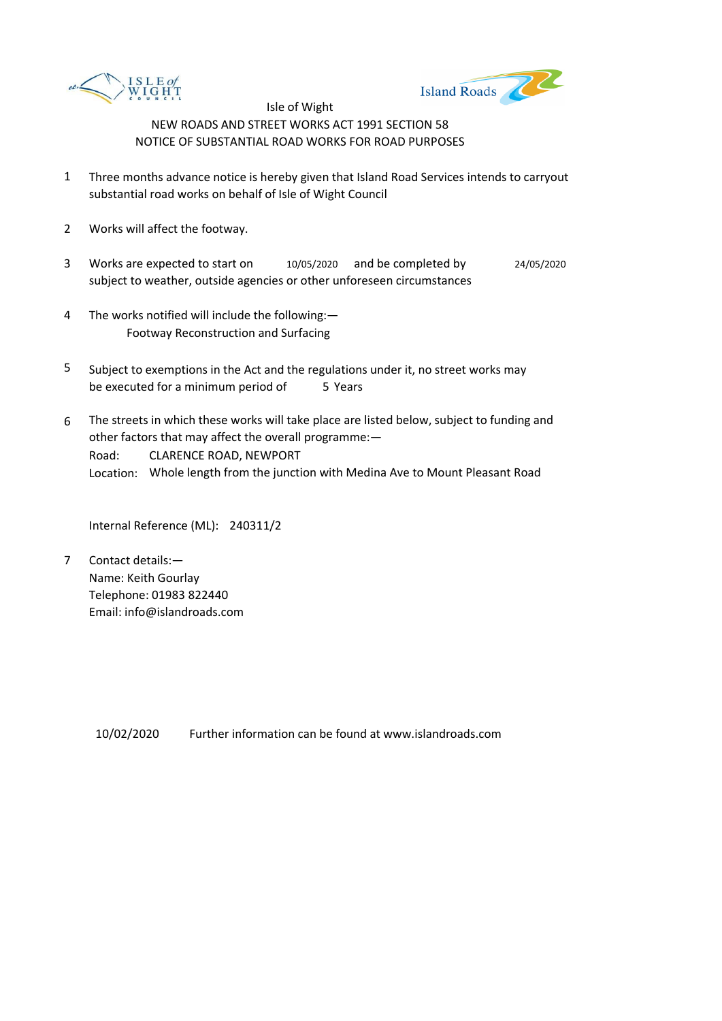



- 1 Three months advance notice is hereby given that Island Road Services intends to carryout substantial road works on behalf of Isle of Wight Council
- 2 Works will affect the footway.
- 3 Works are expected to start on subject to weather, outside agencies or other unforeseen circumstances 10/05/2020 and be completed by 24/05/2020
- 4 The works notified will include the following:— Footway Reconstruction and Surfacing
- 5 be executed for a minimum period of 5 Years Subject to exemptions in the Act and the regulations under it, no street works may
- 6 Road: Location: Whole length from the junction with Medina Ave to Mount Pleasant Road The streets in which these works will take place are listed below, subject to funding and other factors that may affect the overall programme:— CLARENCE ROAD, NEWPORT

Internal Reference (ML): 240311/2

7 Contact details:— Name: Keith Gourlay Telephone: 01983 822440 Email: info@islandroads.com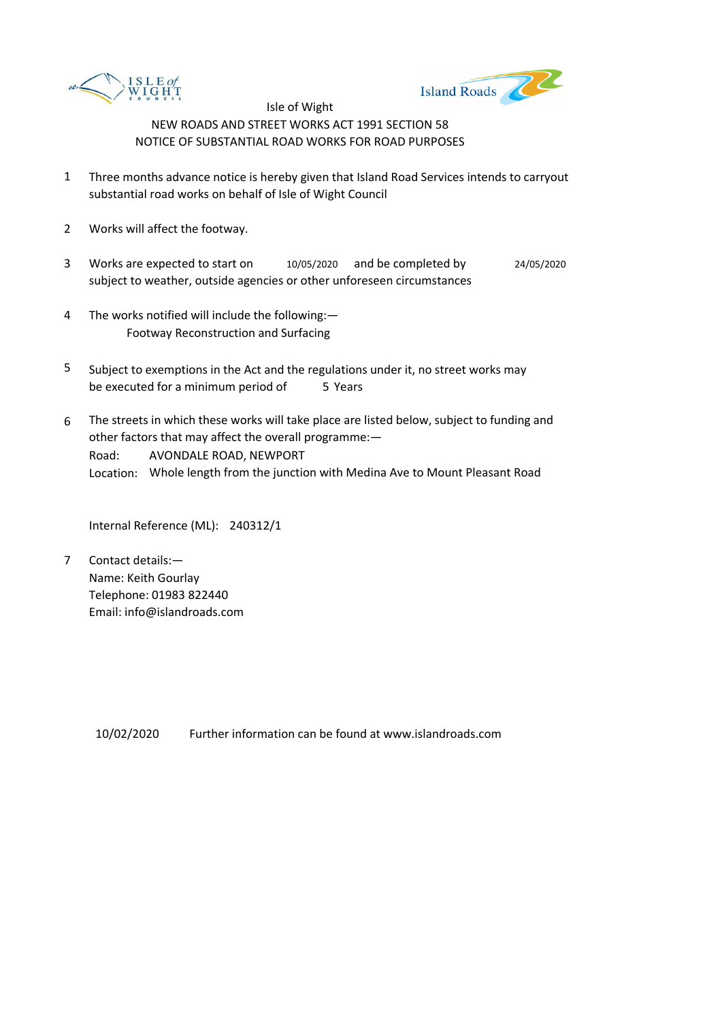



- 1 Three months advance notice is hereby given that Island Road Services intends to carryout substantial road works on behalf of Isle of Wight Council
- 2 Works will affect the footway.
- 3 Works are expected to start on subject to weather, outside agencies or other unforeseen circumstances 10/05/2020 and be completed by 24/05/2020
- 4 The works notified will include the following:— Footway Reconstruction and Surfacing
- 5 be executed for a minimum period of 5 Years Subject to exemptions in the Act and the regulations under it, no street works may
- 6 Road: Location: Whole length from the junction with Medina Ave to Mount Pleasant Road The streets in which these works will take place are listed below, subject to funding and other factors that may affect the overall programme:— AVONDALE ROAD, NEWPORT

Internal Reference (ML): 240312/1

7 Contact details:— Name: Keith Gourlay Telephone: 01983 822440 Email: info@islandroads.com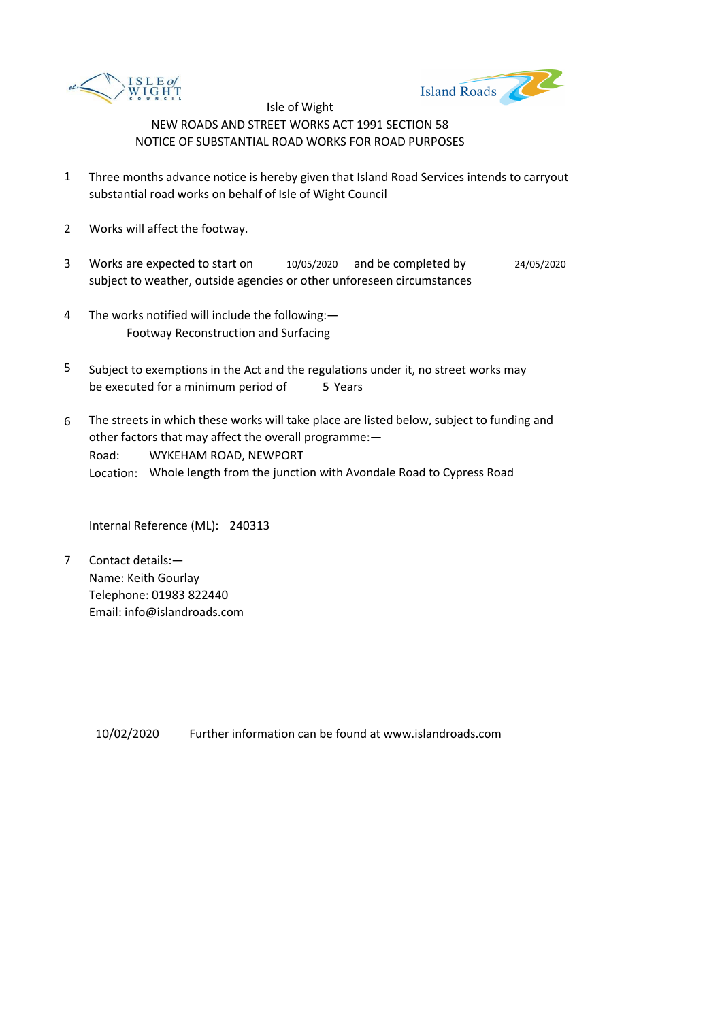



- 1 Three months advance notice is hereby given that Island Road Services intends to carryout substantial road works on behalf of Isle of Wight Council
- 2 Works will affect the footway.
- 3 Works are expected to start on  $10/05/2020$  and be completed by 24/05/2020 subject to weather, outside agencies or other unforeseen circumstances
- 4 The works notified will include the following:— Footway Reconstruction and Surfacing
- 5 be executed for a minimum period of 5 Years Subject to exemptions in the Act and the regulations under it, no street works may
- 6 Road: Location: Whole length from the junction with Avondale Road to Cypress Road The streets in which these works will take place are listed below, subject to funding and other factors that may affect the overall programme:— WYKEHAM ROAD, NEWPORT

Internal Reference (ML): 240313

7 Contact details:— Name: Keith Gourlay Telephone: 01983 822440 Email: info@islandroads.com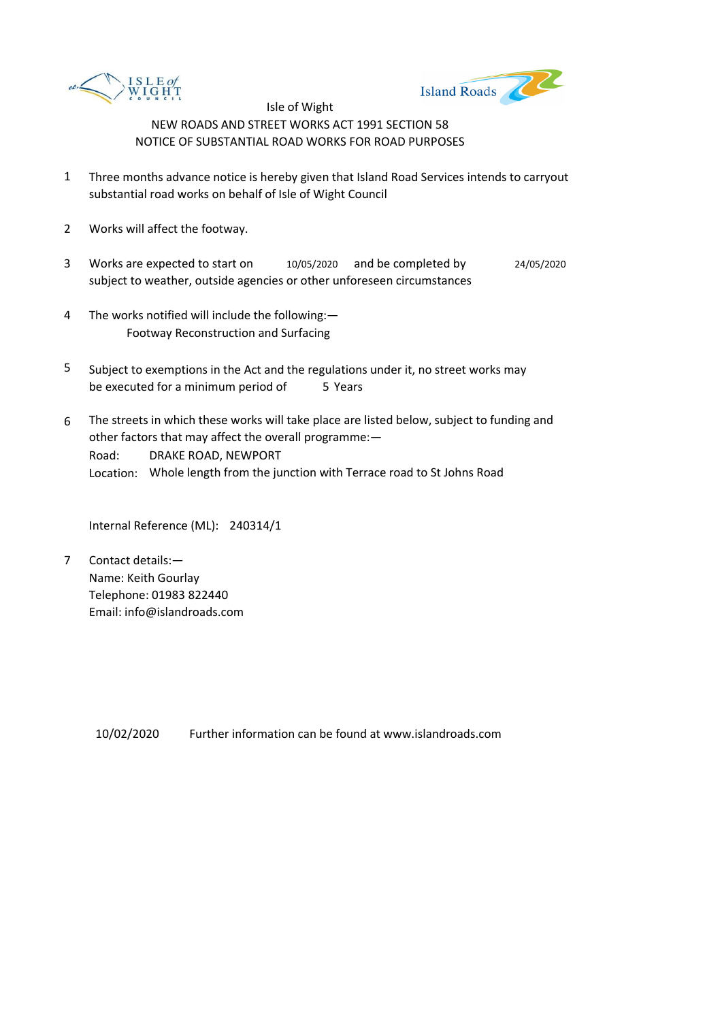



- 1 Three months advance notice is hereby given that Island Road Services intends to carryout substantial road works on behalf of Isle of Wight Council
- 2 Works will affect the footway.
- 3 Works are expected to start on  $10/05/2020$  and be completed by 24/05/2020 subject to weather, outside agencies or other unforeseen circumstances
- 4 The works notified will include the following:— Footway Reconstruction and Surfacing
- 5 be executed for a minimum period of 5 Years Subject to exemptions in the Act and the regulations under it, no street works may
- 6 Road: Location: Whole length from the junction with Terrace road to St Johns Road The streets in which these works will take place are listed below, subject to funding and other factors that may affect the overall programme:— DRAKE ROAD, NEWPORT

Internal Reference (ML): 240314/1

7 Contact details:— Name: Keith Gourlay Telephone: 01983 822440 Email: info@islandroads.com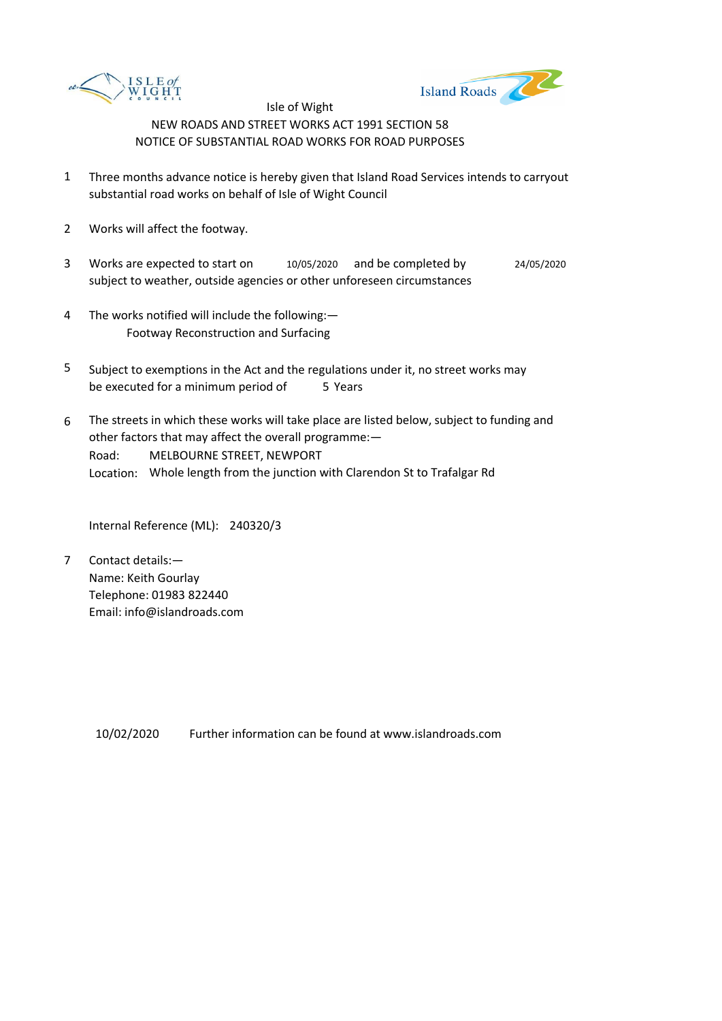



- 1 Three months advance notice is hereby given that Island Road Services intends to carryout substantial road works on behalf of Isle of Wight Council
- 2 Works will affect the footway.
- 3 Works are expected to start on subject to weather, outside agencies or other unforeseen circumstances 10/05/2020 and be completed by 24/05/2020
- 4 The works notified will include the following:— Footway Reconstruction and Surfacing
- 5 be executed for a minimum period of 5 Years Subject to exemptions in the Act and the regulations under it, no street works may
- 6 Road: Location: Whole length from the junction with Clarendon St to Trafalgar Rd The streets in which these works will take place are listed below, subject to funding and other factors that may affect the overall programme:— MELBOURNE STREET, NEWPORT

Internal Reference (ML): 240320/3

7 Contact details:— Name: Keith Gourlay Telephone: 01983 822440 Email: info@islandroads.com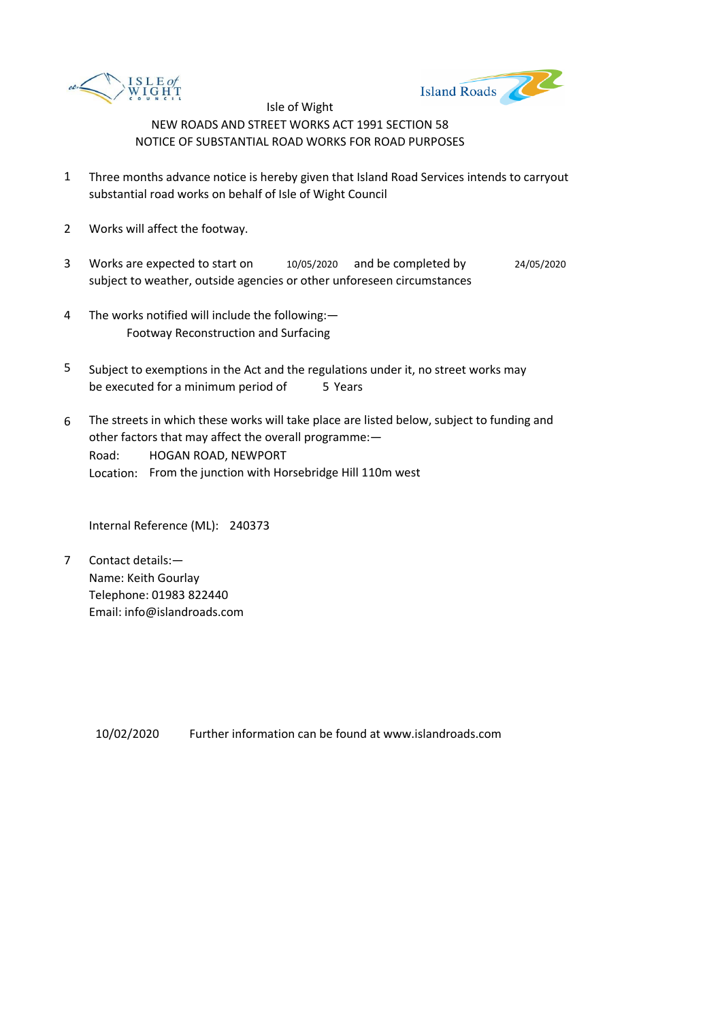



- 1 Three months advance notice is hereby given that Island Road Services intends to carryout substantial road works on behalf of Isle of Wight Council
- 2 Works will affect the footway.
- 3 Works are expected to start on subject to weather, outside agencies or other unforeseen circumstances 10/05/2020 and be completed by 24/05/2020
- 4 The works notified will include the following:— Footway Reconstruction and Surfacing
- 5 be executed for a minimum period of 5 Years Subject to exemptions in the Act and the regulations under it, no street works may
- 6 Road: Location: From the junction with Horsebridge Hill 110m west The streets in which these works will take place are listed below, subject to funding and other factors that may affect the overall programme:— HOGAN ROAD, NEWPORT

Internal Reference (ML): 240373

7 Contact details:— Name: Keith Gourlay Telephone: 01983 822440 Email: info@islandroads.com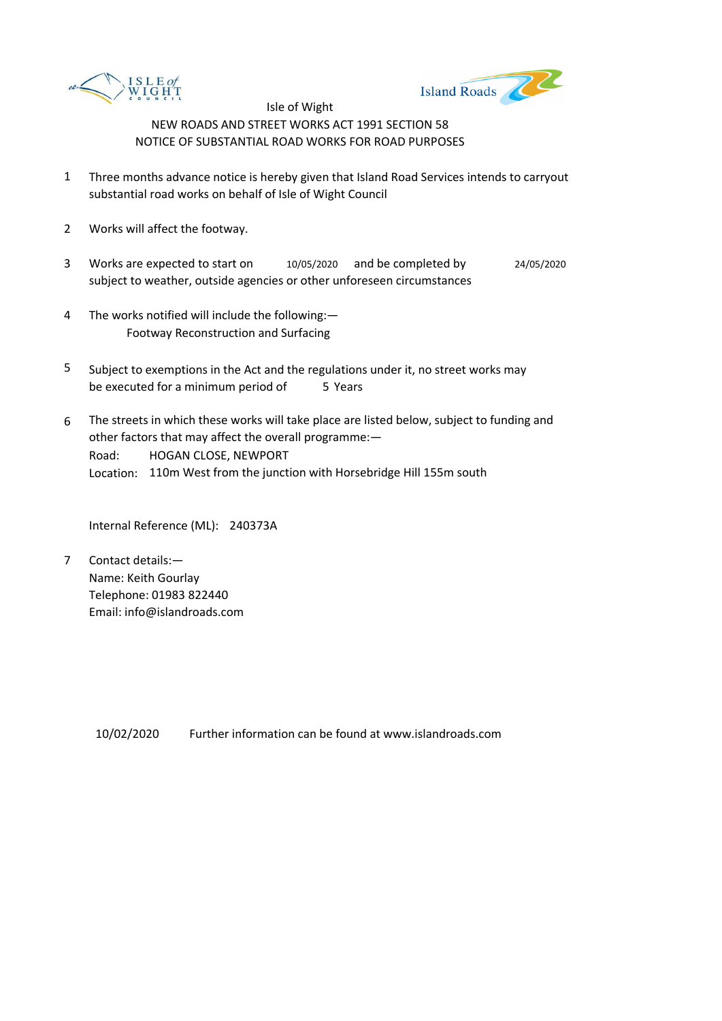



- 1 Three months advance notice is hereby given that Island Road Services intends to carryout substantial road works on behalf of Isle of Wight Council
- 2 Works will affect the footway.
- 3 Works are expected to start on subject to weather, outside agencies or other unforeseen circumstances 10/05/2020 and be completed by 24/05/2020
- 4 The works notified will include the following:— Footway Reconstruction and Surfacing
- 5 be executed for a minimum period of 5 Years Subject to exemptions in the Act and the regulations under it, no street works may
- 6 Road: Location: 110m West from the junction with Horsebridge Hill 155m south The streets in which these works will take place are listed below, subject to funding and other factors that may affect the overall programme:— HOGAN CLOSE, NEWPORT

Internal Reference (ML): 240373A

7 Contact details:— Name: Keith Gourlay Telephone: 01983 822440 Email: info@islandroads.com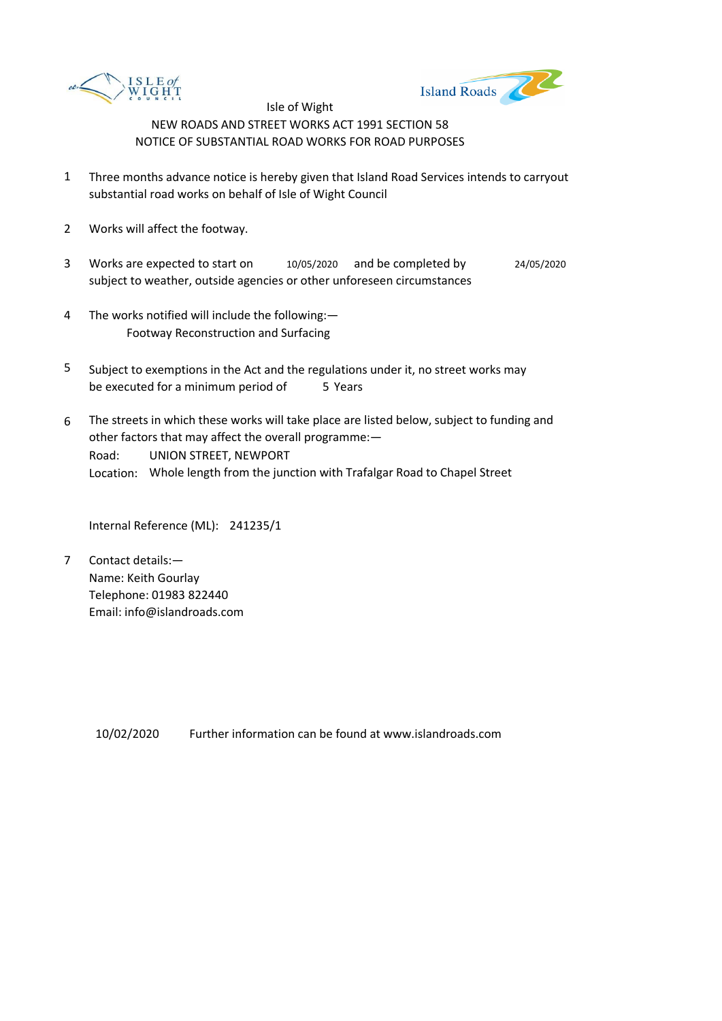



- 1 Three months advance notice is hereby given that Island Road Services intends to carryout substantial road works on behalf of Isle of Wight Council
- 2 Works will affect the footway.
- 3 Works are expected to start on  $10/05/2020$  and be completed by 24/05/2020 subject to weather, outside agencies or other unforeseen circumstances
- 4 The works notified will include the following:— Footway Reconstruction and Surfacing
- 5 be executed for a minimum period of 5 Years Subject to exemptions in the Act and the regulations under it, no street works may
- 6 Road: Location: Whole length from the junction with Trafalgar Road to Chapel Street The streets in which these works will take place are listed below, subject to funding and other factors that may affect the overall programme:— UNION STREET, NEWPORT

Internal Reference (ML): 241235/1

7 Contact details:— Name: Keith Gourlay Telephone: 01983 822440 Email: info@islandroads.com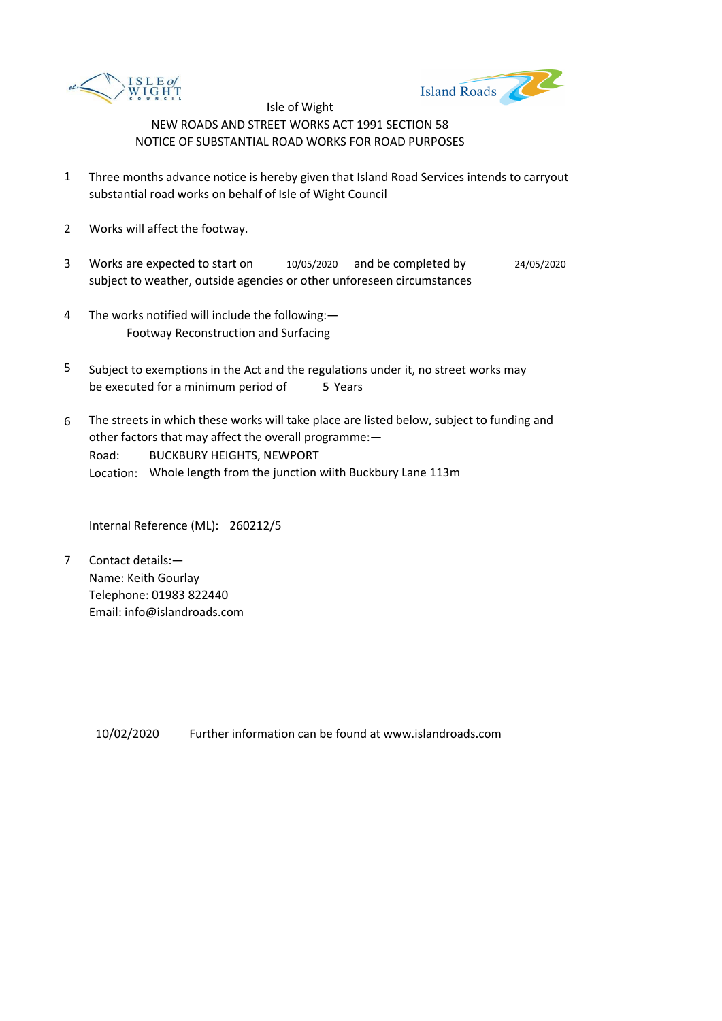



- 1 Three months advance notice is hereby given that Island Road Services intends to carryout substantial road works on behalf of Isle of Wight Council
- 2 Works will affect the footway.
- 3 Works are expected to start on  $10/05/2020$  and be completed by 24/05/2020 subject to weather, outside agencies or other unforeseen circumstances
- 4 The works notified will include the following:— Footway Reconstruction and Surfacing
- 5 be executed for a minimum period of 5 Years Subject to exemptions in the Act and the regulations under it, no street works may
- 6 Road: Location: Whole length from the junction wiith Buckbury Lane 113m The streets in which these works will take place are listed below, subject to funding and other factors that may affect the overall programme:— BUCKBURY HEIGHTS, NEWPORT

Internal Reference (ML): 260212/5

7 Contact details:— Name: Keith Gourlay Telephone: 01983 822440 Email: info@islandroads.com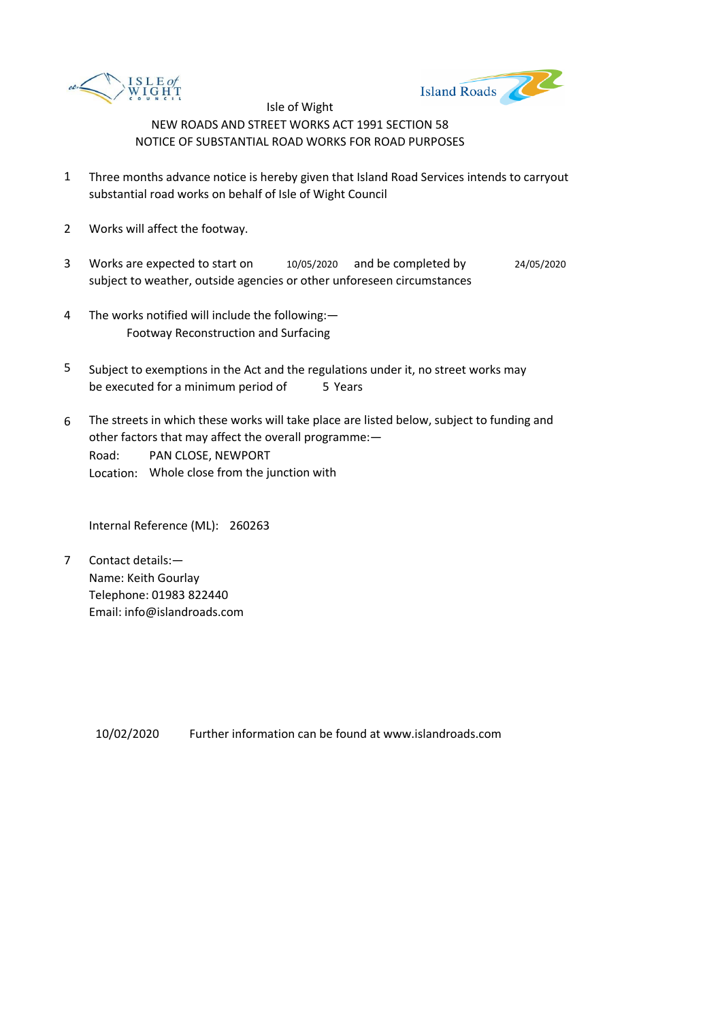



- 1 Three months advance notice is hereby given that Island Road Services intends to carryout substantial road works on behalf of Isle of Wight Council
- 2 Works will affect the footway.
- 3 Works are expected to start on subject to weather, outside agencies or other unforeseen circumstances 10/05/2020 and be completed by 24/05/2020
- 4 The works notified will include the following:— Footway Reconstruction and Surfacing
- 5 be executed for a minimum period of 5 Years Subject to exemptions in the Act and the regulations under it, no street works may
- 6 Road: Location: Whole close from the junction with The streets in which these works will take place are listed below, subject to funding and other factors that may affect the overall programme:— PAN CLOSE, NEWPORT

Internal Reference (ML): 260263

7 Contact details:— Name: Keith Gourlay Telephone: 01983 822440 Email: info@islandroads.com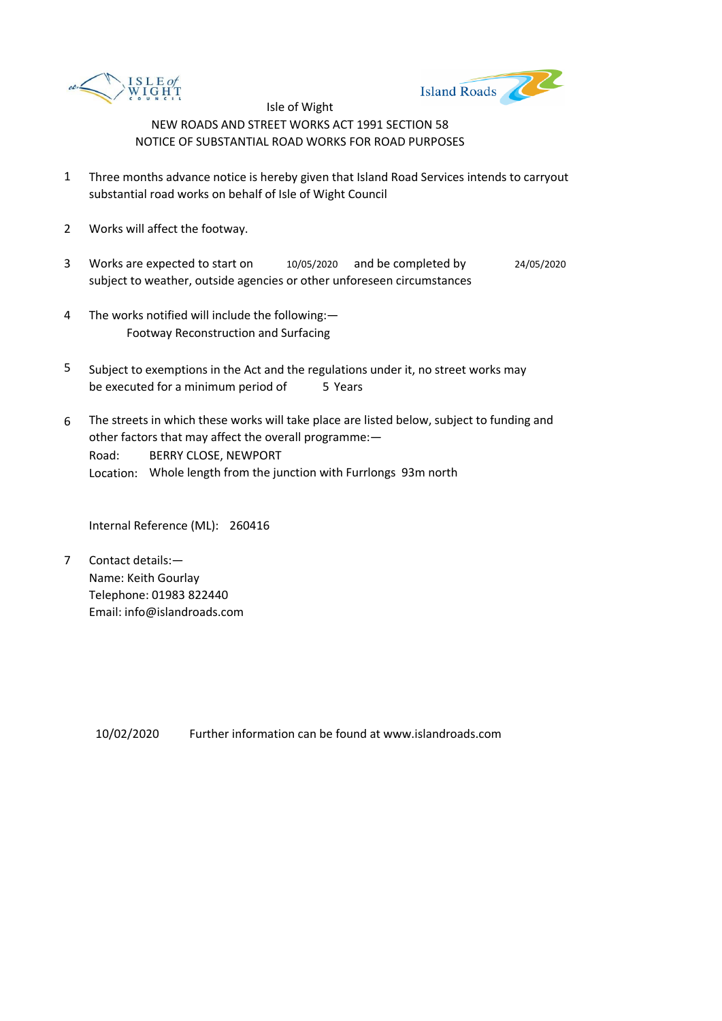



- 1 Three months advance notice is hereby given that Island Road Services intends to carryout substantial road works on behalf of Isle of Wight Council
- 2 Works will affect the footway.
- 3 Works are expected to start on subject to weather, outside agencies or other unforeseen circumstances 10/05/2020 and be completed by 24/05/2020
- 4 The works notified will include the following:— Footway Reconstruction and Surfacing
- 5 be executed for a minimum period of 5 Years Subject to exemptions in the Act and the regulations under it, no street works may
- 6 Road: Location: Whole length from the junction with Furrlongs 93m north The streets in which these works will take place are listed below, subject to funding and other factors that may affect the overall programme:— BERRY CLOSE, NEWPORT

Internal Reference (ML): 260416

7 Contact details:— Name: Keith Gourlay Telephone: 01983 822440 Email: info@islandroads.com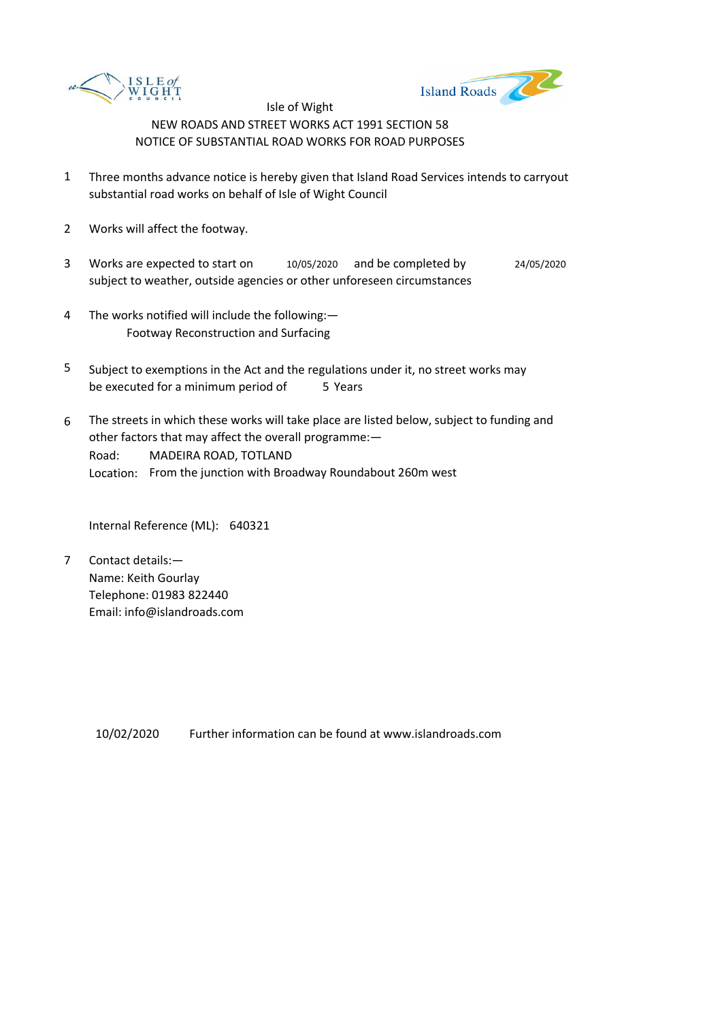



- 1 Three months advance notice is hereby given that Island Road Services intends to carryout substantial road works on behalf of Isle of Wight Council
- 2 Works will affect the footway.
- 3 Works are expected to start on subject to weather, outside agencies or other unforeseen circumstances 10/05/2020 and be completed by 24/05/2020
- 4 The works notified will include the following:— Footway Reconstruction and Surfacing
- 5 be executed for a minimum period of 5 Years Subject to exemptions in the Act and the regulations under it, no street works may
- 6 Road: Location: From the junction with Broadway Roundabout 260m west The streets in which these works will take place are listed below, subject to funding and other factors that may affect the overall programme:— MADEIRA ROAD, TOTLAND

Internal Reference (ML): 640321

7 Contact details:— Name: Keith Gourlay Telephone: 01983 822440 Email: info@islandroads.com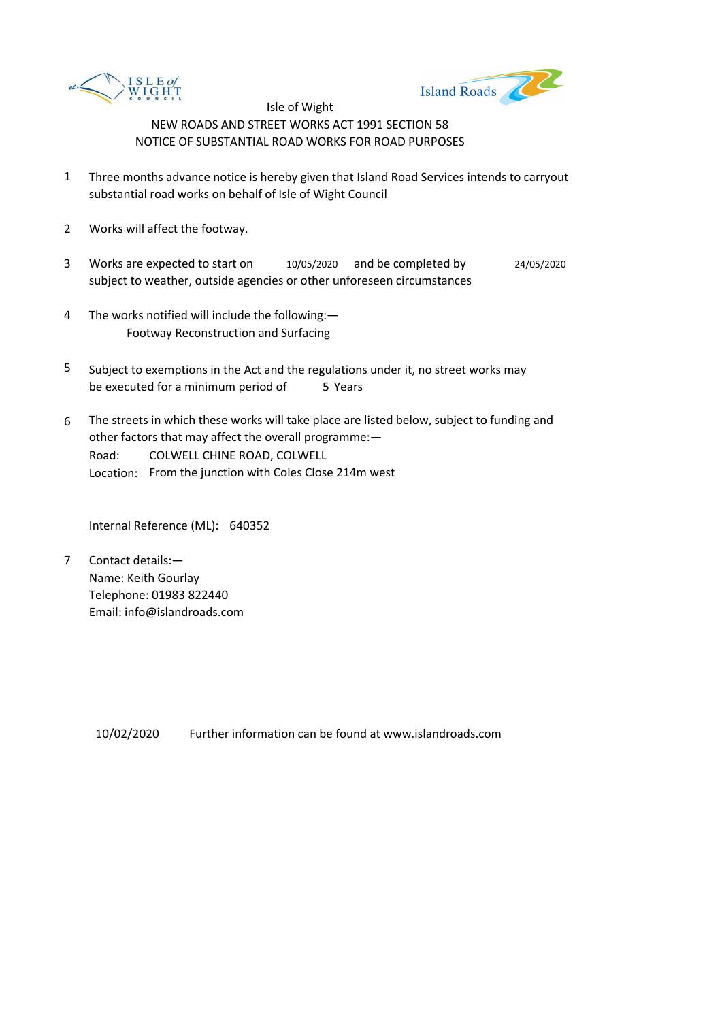



- 1 Three months advance notice is hereby given that Island Road Services intends to carryout substantial road works on behalf of Isle of Wight Council
- 2 Works will affect the footway.
- 3 Works are expected to start on  $10/05/2020$  and be completed by 24/05/2020 subject to weather, outside agencies or other unforeseen circumstances
- 4 The works notified will include the following:— Footway Reconstruction and Surfacing
- 5 be executed for a minimum period of 5 Years Subject to exemptions in the Act and the regulations under it, no street works may
- 6 Road: Location: From the junction with Coles Close 214m west The streets in which these works will take place are listed below, subject to funding and other factors that may affect the overall programme:— COLWELL CHINE ROAD, COLWELL

Internal Reference (ML): 640352

7 Contact details:— Name: Keith Gourlay Telephone: 01983 822440 Email: info@islandroads.com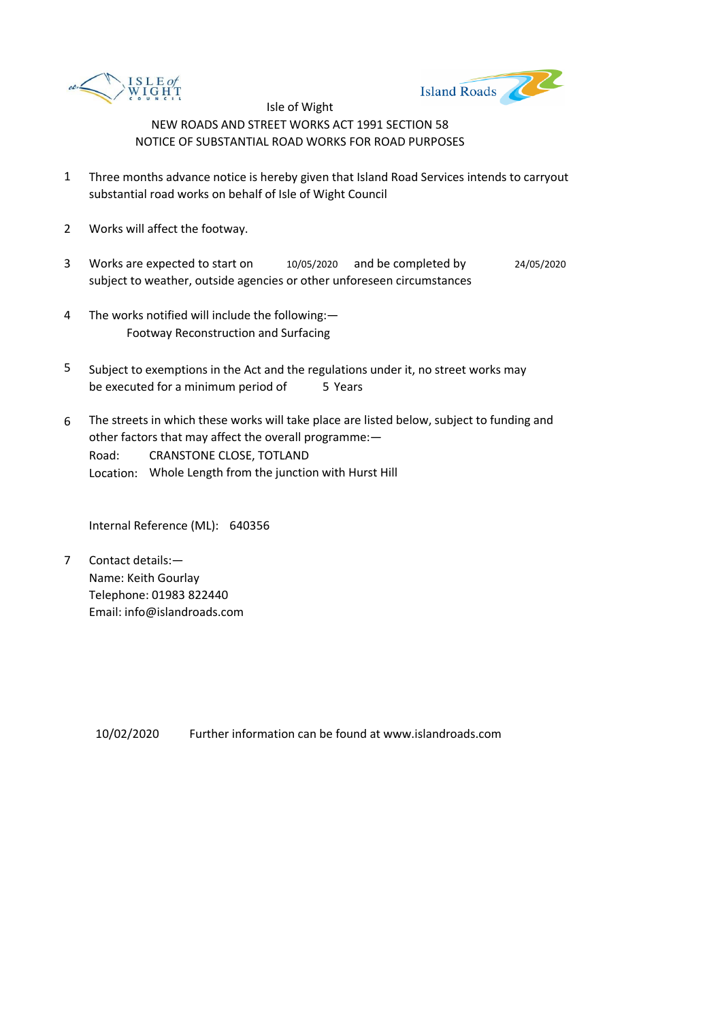



- 1 Three months advance notice is hereby given that Island Road Services intends to carryout substantial road works on behalf of Isle of Wight Council
- 2 Works will affect the footway.
- 3 Works are expected to start on  $10/05/2020$  and be completed by 24/05/2020 subject to weather, outside agencies or other unforeseen circumstances
- 4 The works notified will include the following:— Footway Reconstruction and Surfacing
- 5 be executed for a minimum period of 5 Years Subject to exemptions in the Act and the regulations under it, no street works may
- 6 Road: Location: Whole Length from the junction with Hurst Hill The streets in which these works will take place are listed below, subject to funding and other factors that may affect the overall programme:— CRANSTONE CLOSE, TOTLAND

Internal Reference (ML): 640356

7 Contact details:— Name: Keith Gourlay Telephone: 01983 822440 Email: info@islandroads.com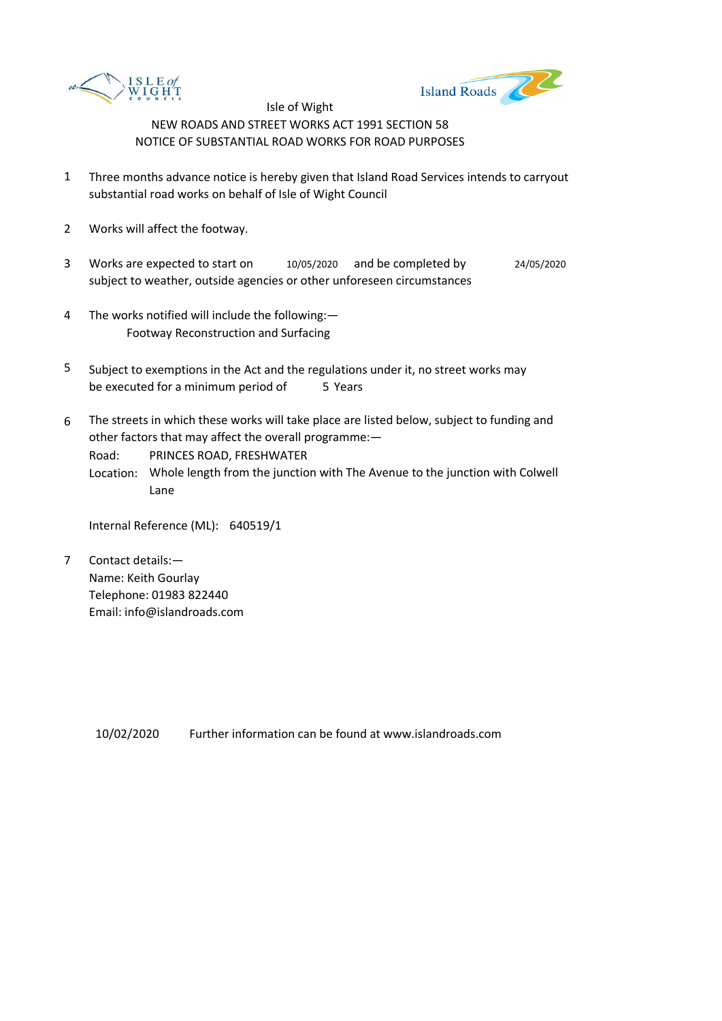



- 1 Three months advance notice is hereby given that Island Road Services intends to carryout substantial road works on behalf of Isle of Wight Council
- 2 Works will affect the footway.
- 3 Works are expected to start on  $10/05/2020$  and be completed by 24/05/2020 subject to weather, outside agencies or other unforeseen circumstances
- 4 The works notified will include the following:— Footway Reconstruction and Surfacing
- 5 be executed for a minimum period of 5 Years Subject to exemptions in the Act and the regulations under it, no street works may
- 6 The streets in which these works will take place are listed below, subject to funding and other factors that may affect the overall programme:—

Road: PRINCES ROAD, FRESHWATER

Location: Whole length from the junction with The Avenue to the junction with Colwell Lane

Internal Reference (ML): 640519/1

7 Contact details:— Name: Keith Gourlay Telephone: 01983 822440 Email: info@islandroads.com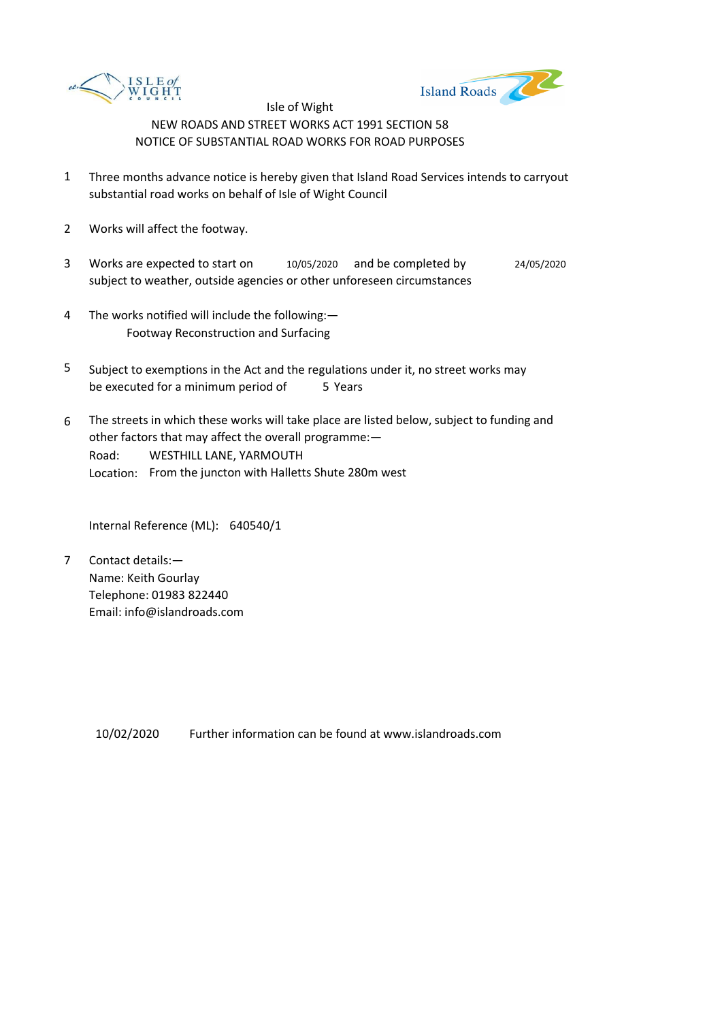



- 1 Three months advance notice is hereby given that Island Road Services intends to carryout substantial road works on behalf of Isle of Wight Council
- 2 Works will affect the footway.
- 3 Works are expected to start on subject to weather, outside agencies or other unforeseen circumstances 10/05/2020 and be completed by 24/05/2020
- 4 The works notified will include the following:— Footway Reconstruction and Surfacing
- 5 be executed for a minimum period of 5 Years Subject to exemptions in the Act and the regulations under it, no street works may
- 6 Road: Location: From the juncton with Halletts Shute 280m west The streets in which these works will take place are listed below, subject to funding and other factors that may affect the overall programme:— WESTHILL LANE, YARMOUTH

Internal Reference (ML): 640540/1

7 Contact details:— Name: Keith Gourlay Telephone: 01983 822440 Email: info@islandroads.com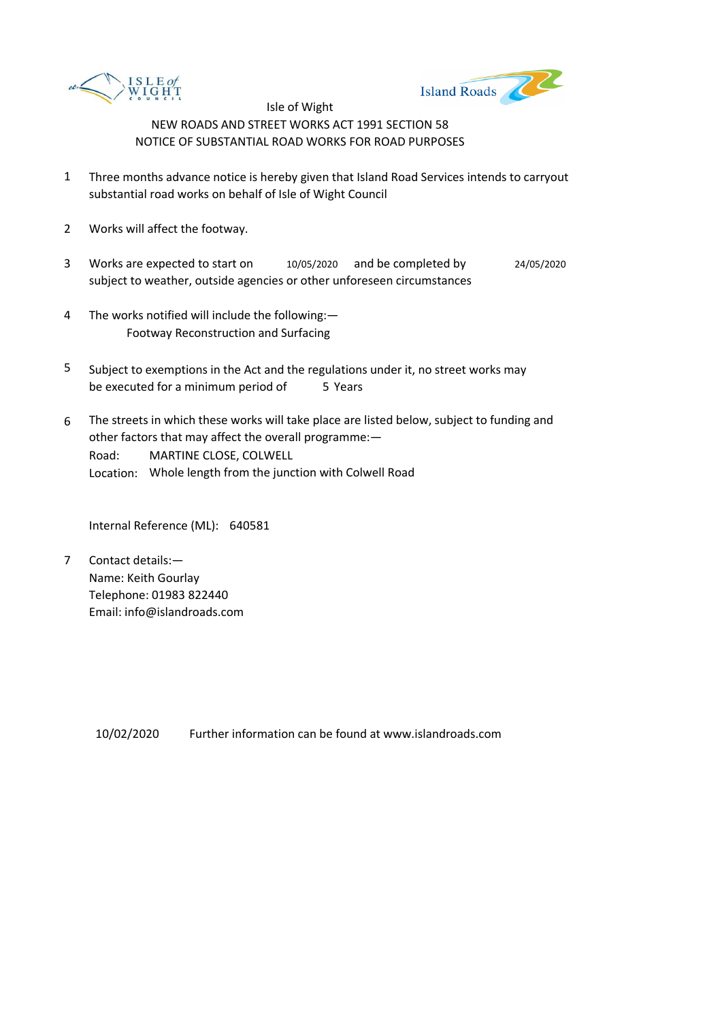



- 1 Three months advance notice is hereby given that Island Road Services intends to carryout substantial road works on behalf of Isle of Wight Council
- 2 Works will affect the footway.
- 3 Works are expected to start on subject to weather, outside agencies or other unforeseen circumstances 10/05/2020 and be completed by 24/05/2020
- 4 The works notified will include the following:— Footway Reconstruction and Surfacing
- 5 be executed for a minimum period of 5 Years Subject to exemptions in the Act and the regulations under it, no street works may
- 6 Road: Location: Whole length from the junction with Colwell Road The streets in which these works will take place are listed below, subject to funding and other factors that may affect the overall programme:— MARTINE CLOSE, COLWELL

Internal Reference (ML): 640581

7 Contact details:— Name: Keith Gourlay Telephone: 01983 822440 Email: info@islandroads.com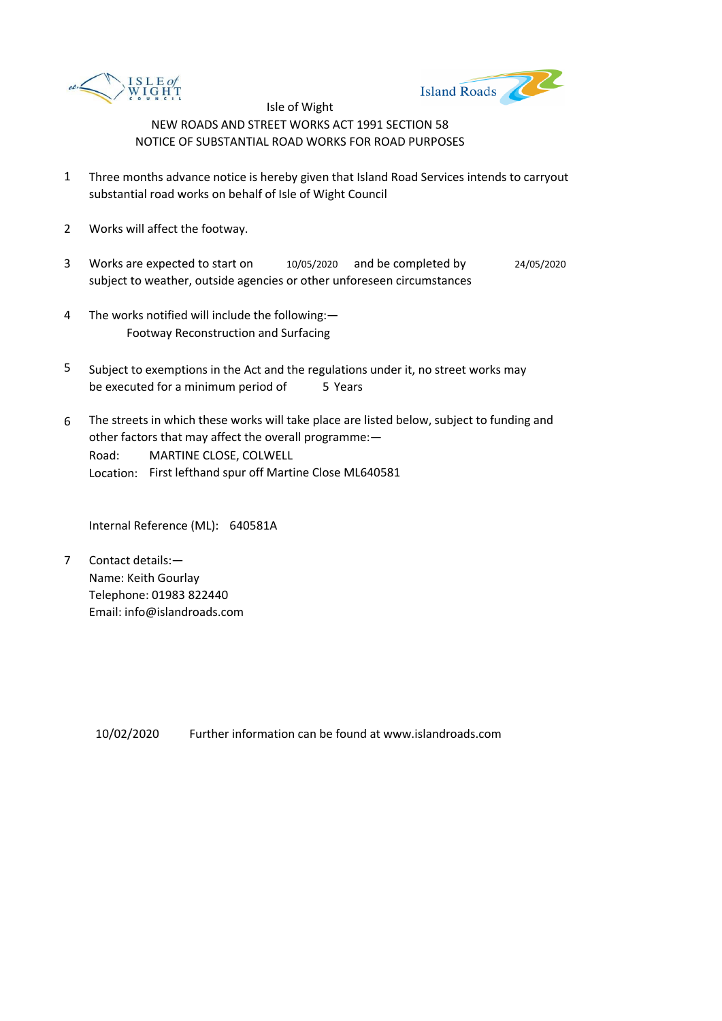



- 1 Three months advance notice is hereby given that Island Road Services intends to carryout substantial road works on behalf of Isle of Wight Council
- 2 Works will affect the footway.
- 3 Works are expected to start on subject to weather, outside agencies or other unforeseen circumstances 10/05/2020 and be completed by 24/05/2020
- 4 The works notified will include the following:— Footway Reconstruction and Surfacing
- 5 be executed for a minimum period of 5 Years Subject to exemptions in the Act and the regulations under it, no street works may
- 6 Road: Location: First lefthand spur off Martine Close ML640581 The streets in which these works will take place are listed below, subject to funding and other factors that may affect the overall programme:— MARTINE CLOSE, COLWELL

Internal Reference (ML): 640581A

7 Contact details:— Name: Keith Gourlay Telephone: 01983 822440 Email: info@islandroads.com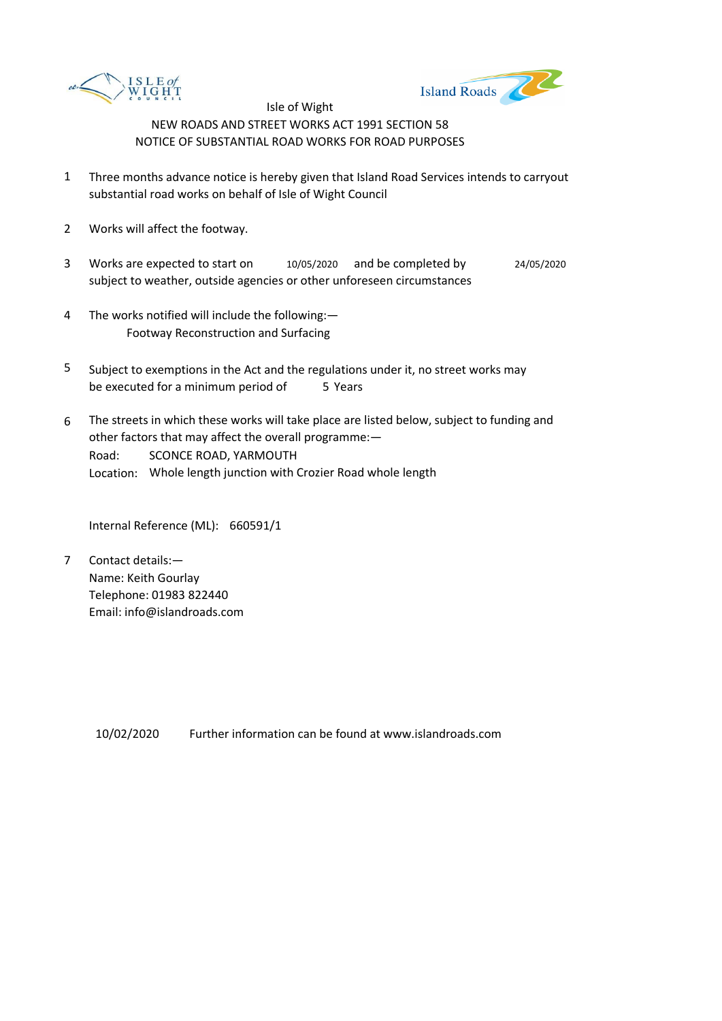



- 1 Three months advance notice is hereby given that Island Road Services intends to carryout substantial road works on behalf of Isle of Wight Council
- 2 Works will affect the footway.
- 3 Works are expected to start on subject to weather, outside agencies or other unforeseen circumstances 10/05/2020 and be completed by 24/05/2020
- 4 The works notified will include the following:— Footway Reconstruction and Surfacing
- 5 be executed for a minimum period of 5 Years Subject to exemptions in the Act and the regulations under it, no street works may
- 6 Road: Location: Whole length junction with Crozier Road whole length The streets in which these works will take place are listed below, subject to funding and other factors that may affect the overall programme:— SCONCE ROAD, YARMOUTH

Internal Reference (ML): 660591/1

7 Contact details:— Name: Keith Gourlay Telephone: 01983 822440 Email: info@islandroads.com